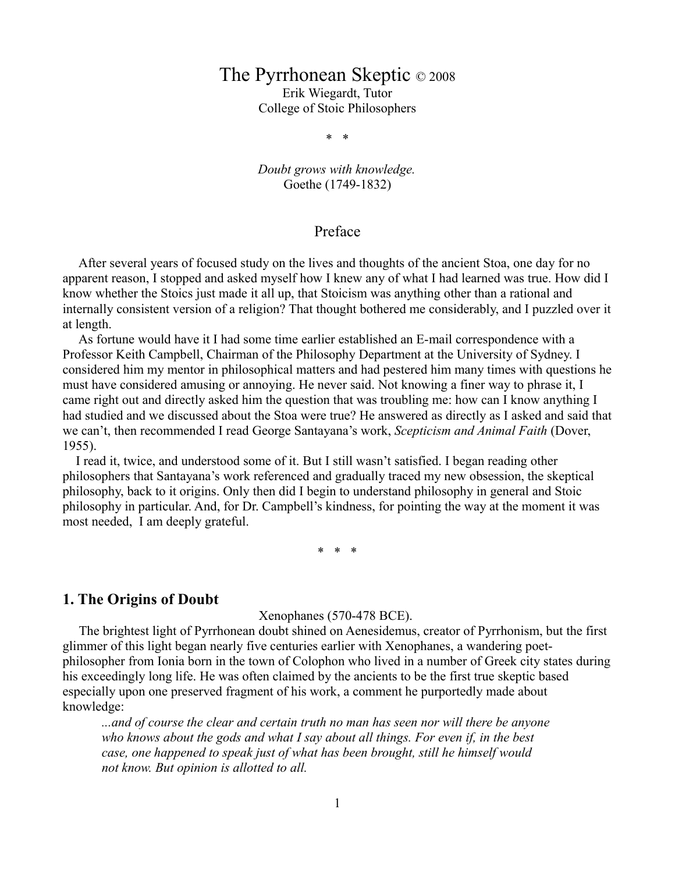# The Pyrrhonean Skeptic © 2008

Erik Wiegardt, Tutor College of Stoic Philosophers

\* \*

*Doubt grows with knowledge.* Goethe (1749-1832)

### Preface

 After several years of focused study on the lives and thoughts of the ancient Stoa, one day for no apparent reason, I stopped and asked myself how I knew any of what I had learned was true. How did I know whether the Stoics just made it all up, that Stoicism was anything other than a rational and internally consistent version of a religion? That thought bothered me considerably, and I puzzled over it at length.

 As fortune would have it I had some time earlier established an E-mail correspondence with a Professor Keith Campbell, Chairman of the Philosophy Department at the University of Sydney. I considered him my mentor in philosophical matters and had pestered him many times with questions he must have considered amusing or annoying. He never said. Not knowing a finer way to phrase it, I came right out and directly asked him the question that was troubling me: how can I know anything I had studied and we discussed about the Stoa were true? He answered as directly as I asked and said that we can't, then recommended I read George Santayana's work, *Scepticism and Animal Faith* (Dover, 1955).

 I read it, twice, and understood some of it. But I still wasn't satisfied. I began reading other philosophers that Santayana's work referenced and gradually traced my new obsession, the skeptical philosophy, back to it origins. Only then did I begin to understand philosophy in general and Stoic philosophy in particular. And, for Dr. Campbell's kindness, for pointing the way at the moment it was most needed, I am deeply grateful.

\* \* \*

## **1. The Origins of Doubt**

Xenophanes (570-478 BCE).

 The brightest light of Pyrrhonean doubt shined on Aenesidemus, creator of Pyrrhonism, but the first glimmer of this light began nearly five centuries earlier with Xenophanes, a wandering poetphilosopher from Ionia born in the town of Colophon who lived in a number of Greek city states during his exceedingly long life. He was often claimed by the ancients to be the first true skeptic based especially upon one preserved fragment of his work, a comment he purportedly made about knowledge:

*...and of course the clear and certain truth no man has seen nor will there be anyone who knows about the gods and what I say about all things. For even if, in the best case, one happened to speak just of what has been brought, still he himself would not know. But opinion is allotted to all.*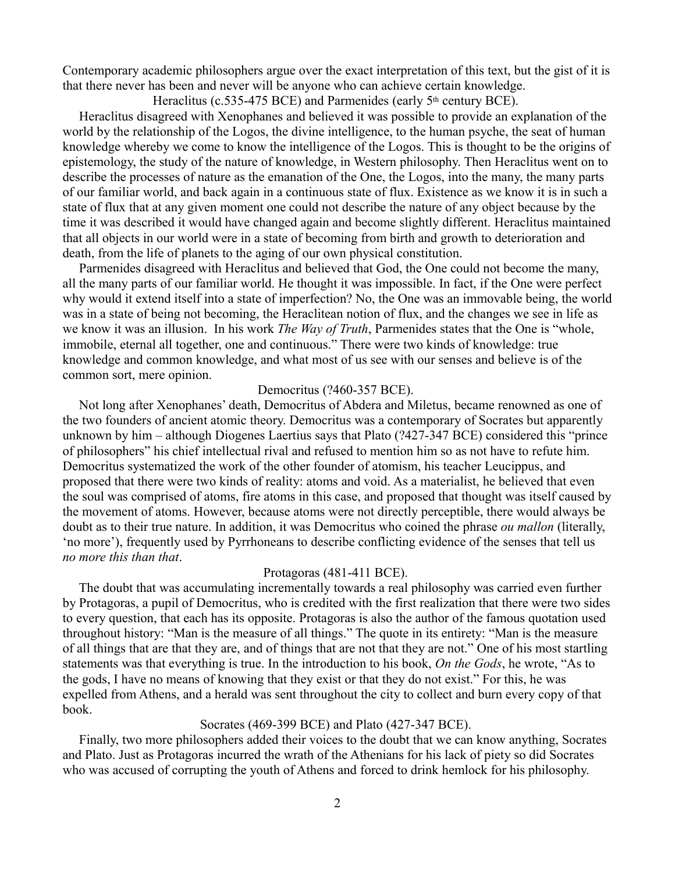Contemporary academic philosophers argue over the exact interpretation of this text, but the gist of it is that there never has been and never will be anyone who can achieve certain knowledge.

Heraclitus (c.535-475 BCE) and Parmenides (early  $5<sup>th</sup>$  century BCE).

 Heraclitus disagreed with Xenophanes and believed it was possible to provide an explanation of the world by the relationship of the Logos, the divine intelligence, to the human psyche, the seat of human knowledge whereby we come to know the intelligence of the Logos. This is thought to be the origins of epistemology, the study of the nature of knowledge, in Western philosophy. Then Heraclitus went on to describe the processes of nature as the emanation of the One, the Logos, into the many, the many parts of our familiar world, and back again in a continuous state of flux. Existence as we know it is in such a state of flux that at any given moment one could not describe the nature of any object because by the time it was described it would have changed again and become slightly different. Heraclitus maintained that all objects in our world were in a state of becoming from birth and growth to deterioration and death, from the life of planets to the aging of our own physical constitution.

 Parmenides disagreed with Heraclitus and believed that God, the One could not become the many, all the many parts of our familiar world. He thought it was impossible. In fact, if the One were perfect why would it extend itself into a state of imperfection? No, the One was an immovable being, the world was in a state of being not becoming, the Heraclitean notion of flux, and the changes we see in life as we know it was an illusion. In his work *The Way of Truth*, Parmenides states that the One is "whole, immobile, eternal all together, one and continuous." There were two kinds of knowledge: true knowledge and common knowledge, and what most of us see with our senses and believe is of the common sort, mere opinion.

#### Democritus (?460-357 BCE).

 Not long after Xenophanes' death, Democritus of Abdera and Miletus, became renowned as one of the two founders of ancient atomic theory. Democritus was a contemporary of Socrates but apparently unknown by him – although Diogenes Laertius says that Plato (?427-347 BCE) considered this "prince of philosophers" his chief intellectual rival and refused to mention him so as not have to refute him. Democritus systematized the work of the other founder of atomism, his teacher Leucippus, and proposed that there were two kinds of reality: atoms and void. As a materialist, he believed that even the soul was comprised of atoms, fire atoms in this case, and proposed that thought was itself caused by the movement of atoms. However, because atoms were not directly perceptible, there would always be doubt as to their true nature. In addition, it was Democritus who coined the phrase *ou mallon* (literally, 'no more'), frequently used by Pyrrhoneans to describe conflicting evidence of the senses that tell us *no more this than that*.

### Protagoras (481-411 BCE).

 The doubt that was accumulating incrementally towards a real philosophy was carried even further by Protagoras, a pupil of Democritus, who is credited with the first realization that there were two sides to every question, that each has its opposite. Protagoras is also the author of the famous quotation used throughout history: "Man is the measure of all things." The quote in its entirety: "Man is the measure of all things that are that they are, and of things that are not that they are not." One of his most startling statements was that everything is true. In the introduction to his book, *On the Gods*, he wrote, "As to the gods, I have no means of knowing that they exist or that they do not exist." For this, he was expelled from Athens, and a herald was sent throughout the city to collect and burn every copy of that book.

### Socrates (469-399 BCE) and Plato (427-347 BCE).

 Finally, two more philosophers added their voices to the doubt that we can know anything, Socrates and Plato. Just as Protagoras incurred the wrath of the Athenians for his lack of piety so did Socrates who was accused of corrupting the youth of Athens and forced to drink hemlock for his philosophy.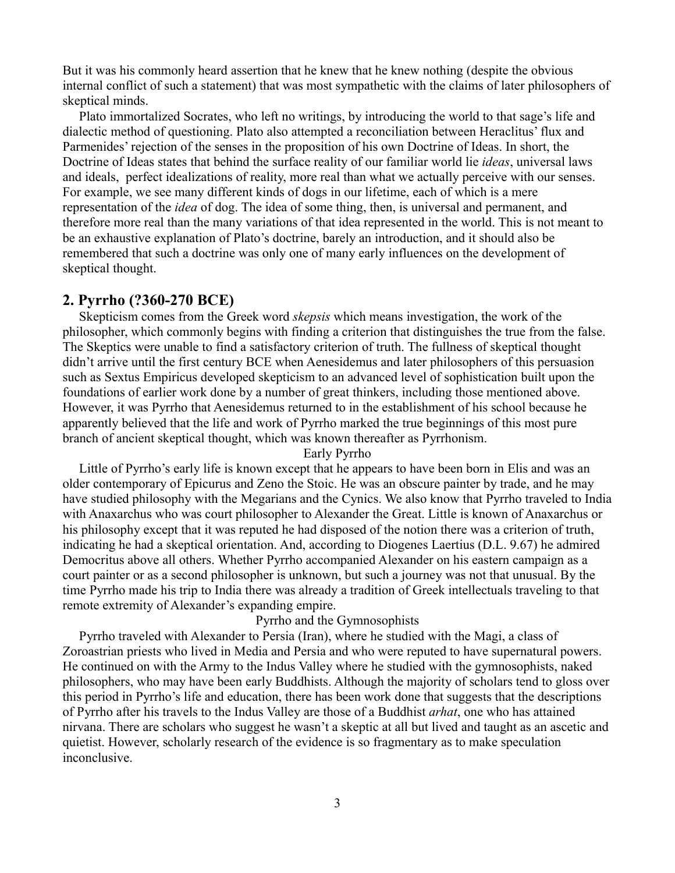But it was his commonly heard assertion that he knew that he knew nothing (despite the obvious internal conflict of such a statement) that was most sympathetic with the claims of later philosophers of skeptical minds.

Plato immortalized Socrates, who left no writings, by introducing the world to that sage's life and dialectic method of questioning. Plato also attempted a reconciliation between Heraclitus' flux and Parmenides' rejection of the senses in the proposition of his own Doctrine of Ideas. In short, the Doctrine of Ideas states that behind the surface reality of our familiar world lie *ideas*, universal laws and ideals, perfect idealizations of reality, more real than what we actually perceive with our senses. For example, we see many different kinds of dogs in our lifetime, each of which is a mere representation of the *idea* of dog. The idea of some thing, then, is universal and permanent, and therefore more real than the many variations of that idea represented in the world. This is not meant to be an exhaustive explanation of Plato's doctrine, barely an introduction, and it should also be remembered that such a doctrine was only one of many early influences on the development of skeptical thought.

### **2. Pyrrho (?360-270 BCE)**

 Skepticism comes from the Greek word *skepsis* which means investigation, the work of the philosopher, which commonly begins with finding a criterion that distinguishes the true from the false. The Skeptics were unable to find a satisfactory criterion of truth. The fullness of skeptical thought didn't arrive until the first century BCE when Aenesidemus and later philosophers of this persuasion such as Sextus Empiricus developed skepticism to an advanced level of sophistication built upon the foundations of earlier work done by a number of great thinkers, including those mentioned above. However, it was Pyrrho that Aenesidemus returned to in the establishment of his school because he apparently believed that the life and work of Pyrrho marked the true beginnings of this most pure branch of ancient skeptical thought, which was known thereafter as Pyrrhonism.

#### Early Pyrrho

 Little of Pyrrho's early life is known except that he appears to have been born in Elis and was an older contemporary of Epicurus and Zeno the Stoic. He was an obscure painter by trade, and he may have studied philosophy with the Megarians and the Cynics. We also know that Pyrrho traveled to India with Anaxarchus who was court philosopher to Alexander the Great. Little is known of Anaxarchus or his philosophy except that it was reputed he had disposed of the notion there was a criterion of truth, indicating he had a skeptical orientation. And, according to Diogenes Laertius (D.L. 9.67) he admired Democritus above all others. Whether Pyrrho accompanied Alexander on his eastern campaign as a court painter or as a second philosopher is unknown, but such a journey was not that unusual. By the time Pyrrho made his trip to India there was already a tradition of Greek intellectuals traveling to that remote extremity of Alexander's expanding empire.

### Pyrrho and the Gymnosophists

 Pyrrho traveled with Alexander to Persia (Iran), where he studied with the Magi, a class of Zoroastrian priests who lived in Media and Persia and who were reputed to have supernatural powers. He continued on with the Army to the Indus Valley where he studied with the gymnosophists, naked philosophers, who may have been early Buddhists. Although the majority of scholars tend to gloss over this period in Pyrrho's life and education, there has been work done that suggests that the descriptions of Pyrrho after his travels to the Indus Valley are those of a Buddhist *arhat*, one who has attained nirvana. There are scholars who suggest he wasn't a skeptic at all but lived and taught as an ascetic and quietist. However, scholarly research of the evidence is so fragmentary as to make speculation inconclusive.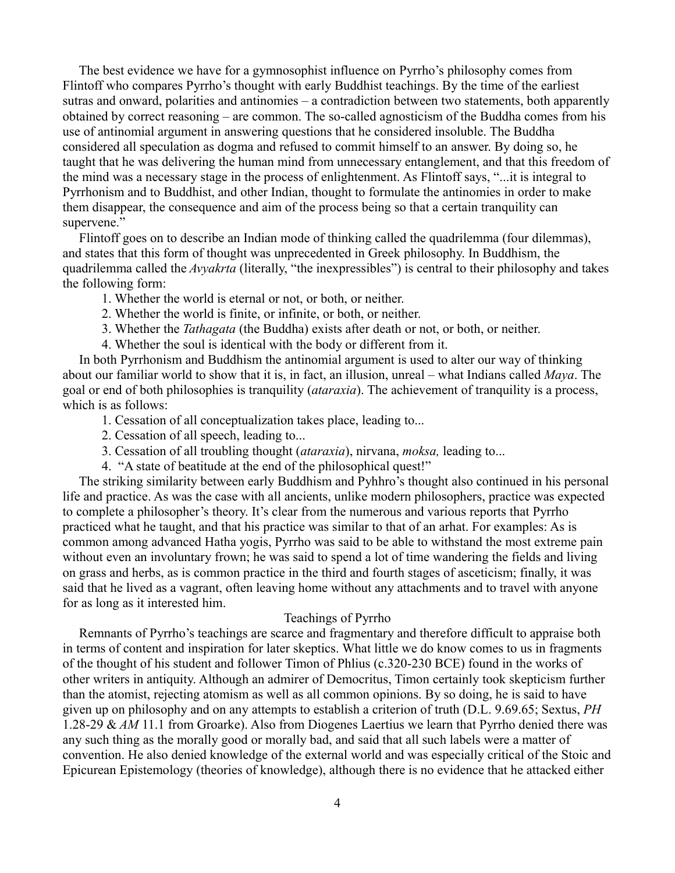The best evidence we have for a gymnosophist influence on Pyrrho's philosophy comes from Flintoff who compares Pyrrho's thought with early Buddhist teachings. By the time of the earliest sutras and onward, polarities and antinomies – a contradiction between two statements, both apparently obtained by correct reasoning – are common. The so-called agnosticism of the Buddha comes from his use of antinomial argument in answering questions that he considered insoluble. The Buddha considered all speculation as dogma and refused to commit himself to an answer. By doing so, he taught that he was delivering the human mind from unnecessary entanglement, and that this freedom of the mind was a necessary stage in the process of enlightenment. As Flintoff says, "...it is integral to Pyrrhonism and to Buddhist, and other Indian, thought to formulate the antinomies in order to make them disappear, the consequence and aim of the process being so that a certain tranquility can supervene."

 Flintoff goes on to describe an Indian mode of thinking called the quadrilemma (four dilemmas), and states that this form of thought was unprecedented in Greek philosophy. In Buddhism, the quadrilemma called the *Avyakrta* (literally, "the inexpressibles") is central to their philosophy and takes the following form:

- 1. Whether the world is eternal or not, or both, or neither.
- 2. Whether the world is finite, or infinite, or both, or neither.
- 3. Whether the *Tathagata* (the Buddha) exists after death or not, or both, or neither.
- 4. Whether the soul is identical with the body or different from it.

 In both Pyrrhonism and Buddhism the antinomial argument is used to alter our way of thinking about our familiar world to show that it is, in fact, an illusion, unreal – what Indians called *Maya*. The goal or end of both philosophies is tranquility (*ataraxia*). The achievement of tranquility is a process, which is as follows:

- 1. Cessation of all conceptualization takes place, leading to...
- 2. Cessation of all speech, leading to...
- 3. Cessation of all troubling thought (*ataraxia*), nirvana, *moksa,* leading to...
- 4. "A state of beatitude at the end of the philosophical quest!"

 The striking similarity between early Buddhism and Pyhhro's thought also continued in his personal life and practice. As was the case with all ancients, unlike modern philosophers, practice was expected to complete a philosopher's theory. It's clear from the numerous and various reports that Pyrrho practiced what he taught, and that his practice was similar to that of an arhat. For examples: As is common among advanced Hatha yogis, Pyrrho was said to be able to withstand the most extreme pain without even an involuntary frown; he was said to spend a lot of time wandering the fields and living on grass and herbs, as is common practice in the third and fourth stages of asceticism; finally, it was said that he lived as a vagrant, often leaving home without any attachments and to travel with anyone for as long as it interested him.

### Teachings of Pyrrho

 Remnants of Pyrrho's teachings are scarce and fragmentary and therefore difficult to appraise both in terms of content and inspiration for later skeptics. What little we do know comes to us in fragments of the thought of his student and follower Timon of Phlius (c.320-230 BCE) found in the works of other writers in antiquity. Although an admirer of Democritus, Timon certainly took skepticism further than the atomist, rejecting atomism as well as all common opinions. By so doing, he is said to have given up on philosophy and on any attempts to establish a criterion of truth (D.L. 9.69.65; Sextus, *PH* 1.28-29 & *AM* 11.1 from Groarke). Also from Diogenes Laertius we learn that Pyrrho denied there was any such thing as the morally good or morally bad, and said that all such labels were a matter of convention. He also denied knowledge of the external world and was especially critical of the Stoic and Epicurean Epistemology (theories of knowledge), although there is no evidence that he attacked either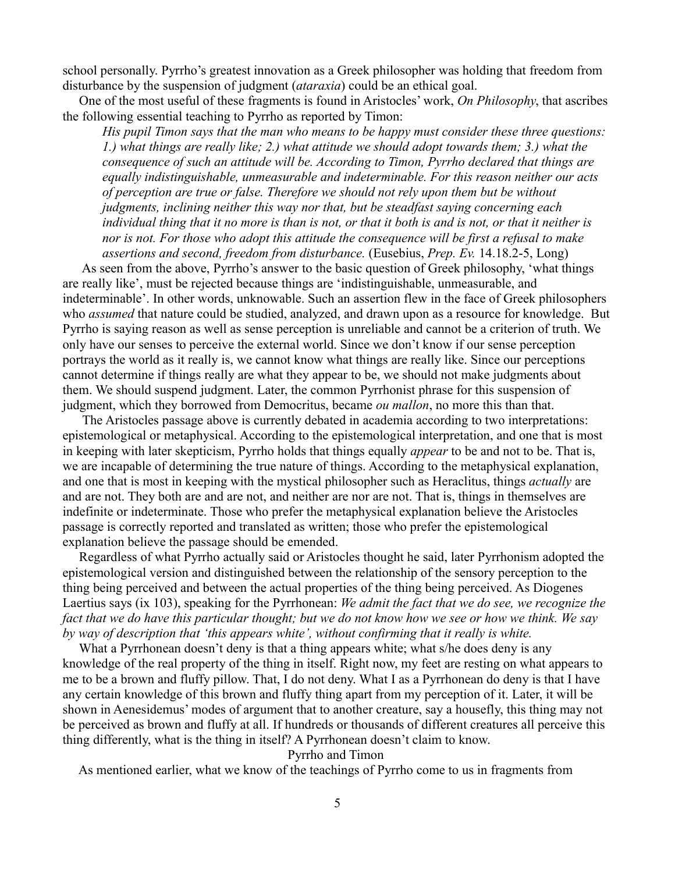school personally. Pyrrho's greatest innovation as a Greek philosopher was holding that freedom from disturbance by the suspension of judgment (*ataraxia*) could be an ethical goal.

 One of the most useful of these fragments is found in Aristocles' work, *On Philosophy*, that ascribes the following essential teaching to Pyrrho as reported by Timon:

*His pupil Timon says that the man who means to be happy must consider these three questions: 1.) what things are really like; 2.) what attitude we should adopt towards them; 3.) what the consequence of such an attitude will be. According to Timon, Pyrrho declared that things are equally indistinguishable, unmeasurable and indeterminable. For this reason neither our acts of perception are true or false. Therefore we should not rely upon them but be without judgments, inclining neither this way nor that, but be steadfast saying concerning each individual thing that it no more is than is not, or that it both is and is not, or that it neither is nor is not. For those who adopt this attitude the consequence will be first a refusal to make assertions and second, freedom from disturbance.* (Eusebius, *Prep. Ev.* 14.18.2-5, Long)

 As seen from the above, Pyrrho's answer to the basic question of Greek philosophy, 'what things are really like', must be rejected because things are 'indistinguishable, unmeasurable, and indeterminable'. In other words, unknowable. Such an assertion flew in the face of Greek philosophers who *assumed* that nature could be studied, analyzed, and drawn upon as a resource for knowledge. But Pyrrho is saying reason as well as sense perception is unreliable and cannot be a criterion of truth. We only have our senses to perceive the external world. Since we don't know if our sense perception portrays the world as it really is, we cannot know what things are really like. Since our perceptions cannot determine if things really are what they appear to be, we should not make judgments about them. We should suspend judgment. Later, the common Pyrrhonist phrase for this suspension of judgment, which they borrowed from Democritus, became *ou mallon*, no more this than that.

 The Aristocles passage above is currently debated in academia according to two interpretations: epistemological or metaphysical. According to the epistemological interpretation, and one that is most in keeping with later skepticism, Pyrrho holds that things equally *appear* to be and not to be. That is, we are incapable of determining the true nature of things. According to the metaphysical explanation, and one that is most in keeping with the mystical philosopher such as Heraclitus, things *actually* are and are not. They both are and are not, and neither are nor are not. That is, things in themselves are indefinite or indeterminate. Those who prefer the metaphysical explanation believe the Aristocles passage is correctly reported and translated as written; those who prefer the epistemological explanation believe the passage should be emended.

 Regardless of what Pyrrho actually said or Aristocles thought he said, later Pyrrhonism adopted the epistemological version and distinguished between the relationship of the sensory perception to the thing being perceived and between the actual properties of the thing being perceived. As Diogenes Laertius says (ix 103), speaking for the Pyrrhonean: *We admit the fact that we do see, we recognize the fact that we do have this particular thought; but we do not know how we see or how we think. We say by way of description that 'this appears white', without confirming that it really is white.*

What a Pyrrhonean doesn't deny is that a thing appears white; what s/he does deny is any knowledge of the real property of the thing in itself. Right now, my feet are resting on what appears to me to be a brown and fluffy pillow. That, I do not deny. What I as a Pyrrhonean do deny is that I have any certain knowledge of this brown and fluffy thing apart from my perception of it. Later, it will be shown in Aenesidemus' modes of argument that to another creature, say a housefly, this thing may not be perceived as brown and fluffy at all. If hundreds or thousands of different creatures all perceive this thing differently, what is the thing in itself? A Pyrrhonean doesn't claim to know.

Pyrrho and Timon

As mentioned earlier, what we know of the teachings of Pyrrho come to us in fragments from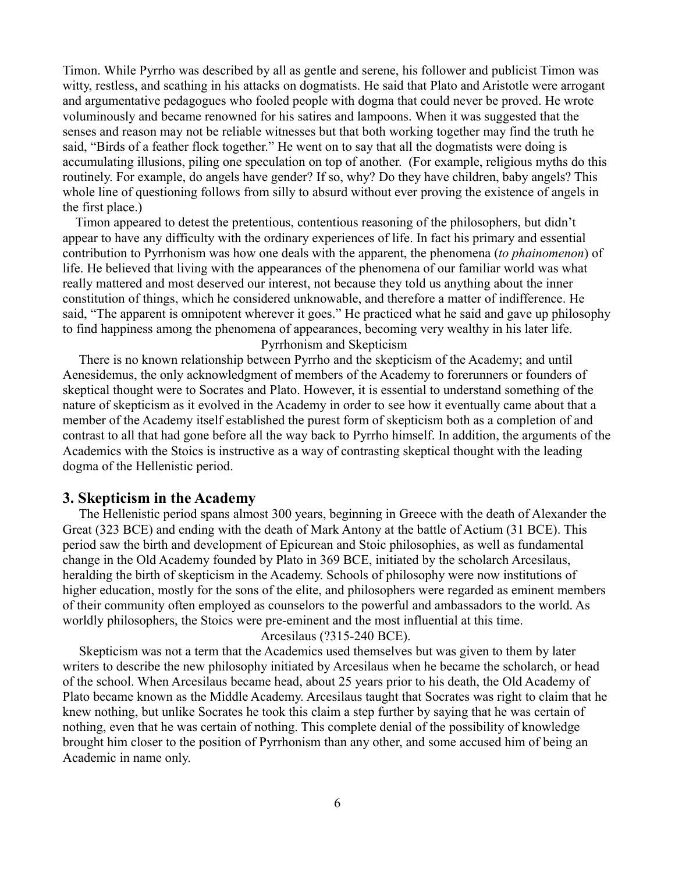Timon. While Pyrrho was described by all as gentle and serene, his follower and publicist Timon was witty, restless, and scathing in his attacks on dogmatists. He said that Plato and Aristotle were arrogant and argumentative pedagogues who fooled people with dogma that could never be proved. He wrote voluminously and became renowned for his satires and lampoons. When it was suggested that the senses and reason may not be reliable witnesses but that both working together may find the truth he said, "Birds of a feather flock together." He went on to say that all the dogmatists were doing is accumulating illusions, piling one speculation on top of another. (For example, religious myths do this routinely. For example, do angels have gender? If so, why? Do they have children, baby angels? This whole line of questioning follows from silly to absurd without ever proving the existence of angels in the first place.)

 Timon appeared to detest the pretentious, contentious reasoning of the philosophers, but didn't appear to have any difficulty with the ordinary experiences of life. In fact his primary and essential contribution to Pyrrhonism was how one deals with the apparent, the phenomena (*to phainomenon*) of life. He believed that living with the appearances of the phenomena of our familiar world was what really mattered and most deserved our interest, not because they told us anything about the inner constitution of things, which he considered unknowable, and therefore a matter of indifference. He said, "The apparent is omnipotent wherever it goes." He practiced what he said and gave up philosophy to find happiness among the phenomena of appearances, becoming very wealthy in his later life.

Pyrrhonism and Skepticism

 There is no known relationship between Pyrrho and the skepticism of the Academy; and until Aenesidemus, the only acknowledgment of members of the Academy to forerunners or founders of skeptical thought were to Socrates and Plato. However, it is essential to understand something of the nature of skepticism as it evolved in the Academy in order to see how it eventually came about that a member of the Academy itself established the purest form of skepticism both as a completion of and contrast to all that had gone before all the way back to Pyrrho himself. In addition, the arguments of the Academics with the Stoics is instructive as a way of contrasting skeptical thought with the leading dogma of the Hellenistic period.

### **3. Skepticism in the Academy**

 The Hellenistic period spans almost 300 years, beginning in Greece with the death of Alexander the Great (323 BCE) and ending with the death of Mark Antony at the battle of Actium (31 BCE). This period saw the birth and development of Epicurean and Stoic philosophies, as well as fundamental change in the Old Academy founded by Plato in 369 BCE, initiated by the scholarch Arcesilaus, heralding the birth of skepticism in the Academy. Schools of philosophy were now institutions of higher education, mostly for the sons of the elite, and philosophers were regarded as eminent members of their community often employed as counselors to the powerful and ambassadors to the world. As worldly philosophers, the Stoics were pre-eminent and the most influential at this time.

### Arcesilaus (?315-240 BCE).

 Skepticism was not a term that the Academics used themselves but was given to them by later writers to describe the new philosophy initiated by Arcesilaus when he became the scholarch, or head of the school. When Arcesilaus became head, about 25 years prior to his death, the Old Academy of Plato became known as the Middle Academy. Arcesilaus taught that Socrates was right to claim that he knew nothing, but unlike Socrates he took this claim a step further by saying that he was certain of nothing, even that he was certain of nothing. This complete denial of the possibility of knowledge brought him closer to the position of Pyrrhonism than any other, and some accused him of being an Academic in name only.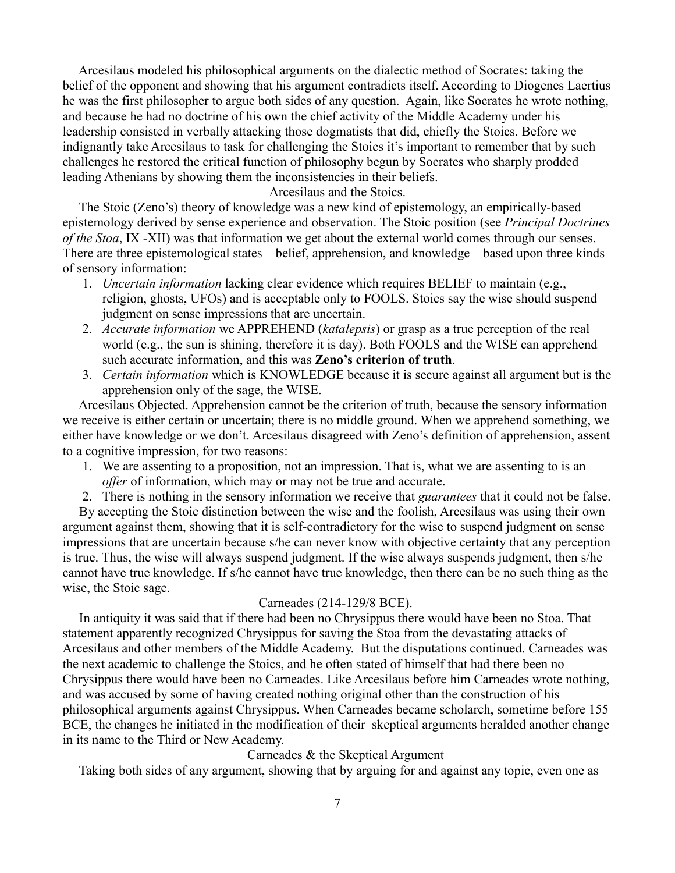Arcesilaus modeled his philosophical arguments on the dialectic method of Socrates: taking the belief of the opponent and showing that his argument contradicts itself. According to Diogenes Laertius he was the first philosopher to argue both sides of any question. Again, like Socrates he wrote nothing, and because he had no doctrine of his own the chief activity of the Middle Academy under his leadership consisted in verbally attacking those dogmatists that did, chiefly the Stoics. Before we indignantly take Arcesilaus to task for challenging the Stoics it's important to remember that by such challenges he restored the critical function of philosophy begun by Socrates who sharply prodded leading Athenians by showing them the inconsistencies in their beliefs.

Arcesilaus and the Stoics.

 The Stoic (Zeno's) theory of knowledge was a new kind of epistemology, an empirically-based epistemology derived by sense experience and observation. The Stoic position (see *Principal Doctrines of the Stoa*, IX -XII) was that information we get about the external world comes through our senses. There are three epistemological states – belief, apprehension, and knowledge – based upon three kinds of sensory information:

- 1. *Uncertain information* lacking clear evidence which requires BELIEF to maintain (e.g., religion, ghosts, UFOs) and is acceptable only to FOOLS. Stoics say the wise should suspend judgment on sense impressions that are uncertain.
- 2. *Accurate information* we APPREHEND (*katalepsis*) or grasp as a true perception of the real world (e.g., the sun is shining, therefore it is day). Both FOOLS and the WISE can apprehend such accurate information, and this was **Zeno's criterion of truth**.
- 3. *Certain information* which is KNOWLEDGE because it is secure against all argument but is the apprehension only of the sage, the WISE.

 Arcesilaus Objected. Apprehension cannot be the criterion of truth, because the sensory information we receive is either certain or uncertain; there is no middle ground. When we apprehend something, we either have knowledge or we don't. Arcesilaus disagreed with Zeno's definition of apprehension, assent to a cognitive impression, for two reasons:

- 1. We are assenting to a proposition, not an impression. That is, what we are assenting to is an *offer* of information, which may or may not be true and accurate.
- 2. There is nothing in the sensory information we receive that *guarantees* that it could not be false.

 By accepting the Stoic distinction between the wise and the foolish, Arcesilaus was using their own argument against them, showing that it is self-contradictory for the wise to suspend judgment on sense impressions that are uncertain because s/he can never know with objective certainty that any perception is true. Thus, the wise will always suspend judgment. If the wise always suspends judgment, then s/he cannot have true knowledge. If s/he cannot have true knowledge, then there can be no such thing as the wise, the Stoic sage.

### Carneades (214-129/8 BCE).

 In antiquity it was said that if there had been no Chrysippus there would have been no Stoa. That statement apparently recognized Chrysippus for saving the Stoa from the devastating attacks of Arcesilaus and other members of the Middle Academy. But the disputations continued. Carneades was the next academic to challenge the Stoics, and he often stated of himself that had there been no Chrysippus there would have been no Carneades. Like Arcesilaus before him Carneades wrote nothing, and was accused by some of having created nothing original other than the construction of his philosophical arguments against Chrysippus. When Carneades became scholarch, sometime before 155 BCE, the changes he initiated in the modification of their skeptical arguments heralded another change in its name to the Third or New Academy.

Carneades & the Skeptical Argument

Taking both sides of any argument, showing that by arguing for and against any topic, even one as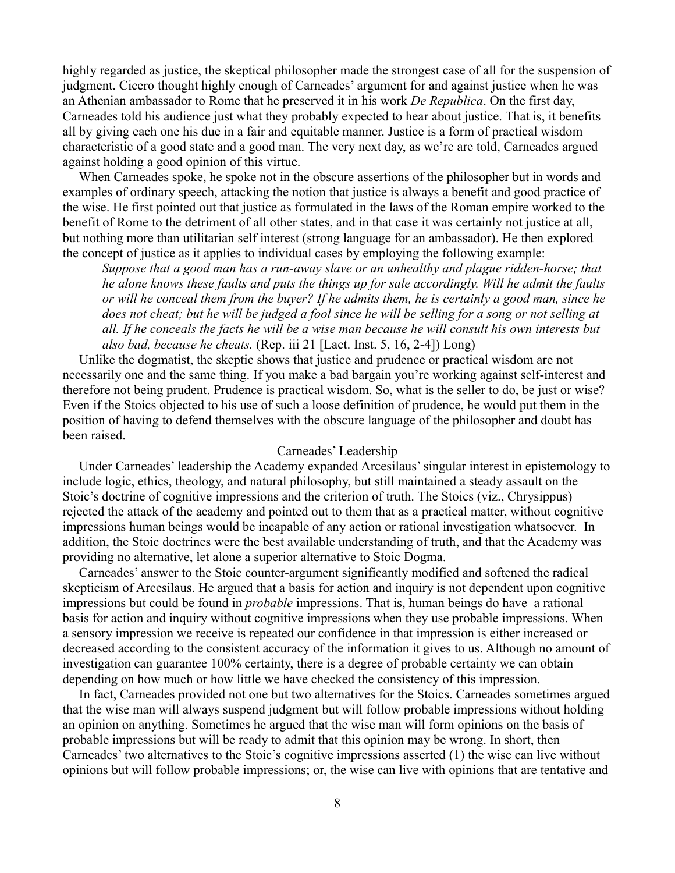highly regarded as justice, the skeptical philosopher made the strongest case of all for the suspension of judgment. Cicero thought highly enough of Carneades' argument for and against justice when he was an Athenian ambassador to Rome that he preserved it in his work *De Republica*. On the first day, Carneades told his audience just what they probably expected to hear about justice. That is, it benefits all by giving each one his due in a fair and equitable manner. Justice is a form of practical wisdom characteristic of a good state and a good man. The very next day, as we're are told, Carneades argued against holding a good opinion of this virtue.

 When Carneades spoke, he spoke not in the obscure assertions of the philosopher but in words and examples of ordinary speech, attacking the notion that justice is always a benefit and good practice of the wise. He first pointed out that justice as formulated in the laws of the Roman empire worked to the benefit of Rome to the detriment of all other states, and in that case it was certainly not justice at all, but nothing more than utilitarian self interest (strong language for an ambassador). He then explored the concept of justice as it applies to individual cases by employing the following example:

*Suppose that a good man has a run-away slave or an unhealthy and plague ridden-horse; that he alone knows these faults and puts the things up for sale accordingly. Will he admit the faults or will he conceal them from the buyer? If he admits them, he is certainly a good man, since he does not cheat; but he will be judged a fool since he will be selling for a song or not selling at all. If he conceals the facts he will be a wise man because he will consult his own interests but also bad, because he cheats.* (Rep. iii 21 [Lact. Inst. 5, 16, 2-4]) Long)

 Unlike the dogmatist, the skeptic shows that justice and prudence or practical wisdom are not necessarily one and the same thing. If you make a bad bargain you're working against self-interest and therefore not being prudent. Prudence is practical wisdom. So, what is the seller to do, be just or wise? Even if the Stoics objected to his use of such a loose definition of prudence, he would put them in the position of having to defend themselves with the obscure language of the philosopher and doubt has been raised.

### Carneades' Leadership

 Under Carneades' leadership the Academy expanded Arcesilaus' singular interest in epistemology to include logic, ethics, theology, and natural philosophy, but still maintained a steady assault on the Stoic's doctrine of cognitive impressions and the criterion of truth. The Stoics (viz., Chrysippus) rejected the attack of the academy and pointed out to them that as a practical matter, without cognitive impressions human beings would be incapable of any action or rational investigation whatsoever. In addition, the Stoic doctrines were the best available understanding of truth, and that the Academy was providing no alternative, let alone a superior alternative to Stoic Dogma.

 Carneades' answer to the Stoic counter-argument significantly modified and softened the radical skepticism of Arcesilaus. He argued that a basis for action and inquiry is not dependent upon cognitive impressions but could be found in *probable* impressions. That is, human beings do have a rational basis for action and inquiry without cognitive impressions when they use probable impressions. When a sensory impression we receive is repeated our confidence in that impression is either increased or decreased according to the consistent accuracy of the information it gives to us. Although no amount of investigation can guarantee 100% certainty, there is a degree of probable certainty we can obtain depending on how much or how little we have checked the consistency of this impression.

 In fact, Carneades provided not one but two alternatives for the Stoics. Carneades sometimes argued that the wise man will always suspend judgment but will follow probable impressions without holding an opinion on anything. Sometimes he argued that the wise man will form opinions on the basis of probable impressions but will be ready to admit that this opinion may be wrong. In short, then Carneades' two alternatives to the Stoic's cognitive impressions asserted (1) the wise can live without opinions but will follow probable impressions; or, the wise can live with opinions that are tentative and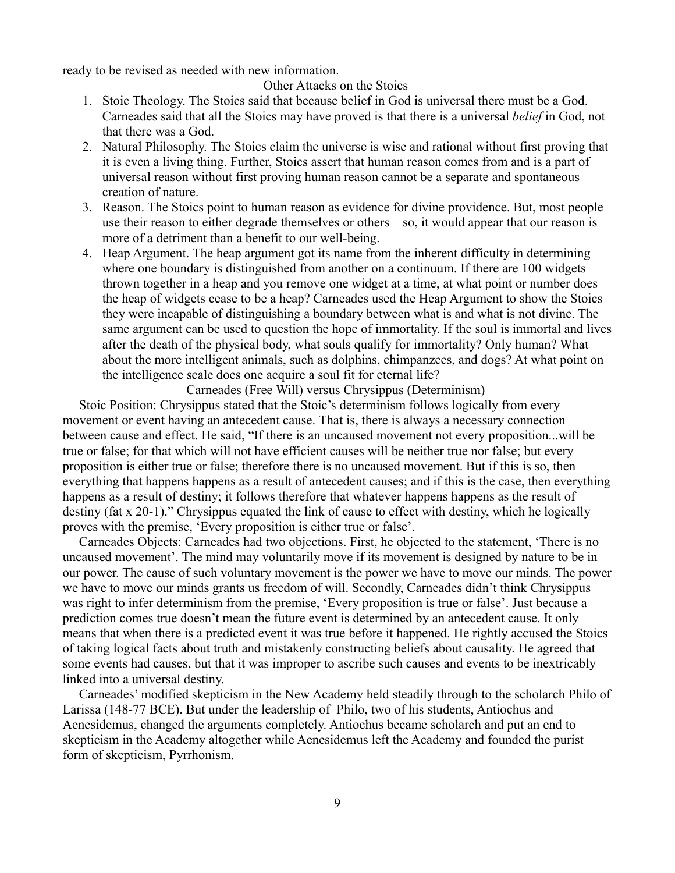ready to be revised as needed with new information.

Other Attacks on the Stoics

- 1. Stoic Theology. The Stoics said that because belief in God is universal there must be a God. Carneades said that all the Stoics may have proved is that there is a universal *belief* in God, not that there was a God.
- 2. Natural Philosophy. The Stoics claim the universe is wise and rational without first proving that it is even a living thing. Further, Stoics assert that human reason comes from and is a part of universal reason without first proving human reason cannot be a separate and spontaneous creation of nature.
- 3. Reason. The Stoics point to human reason as evidence for divine providence. But, most people use their reason to either degrade themselves or others – so, it would appear that our reason is more of a detriment than a benefit to our well-being.
- 4. Heap Argument. The heap argument got its name from the inherent difficulty in determining where one boundary is distinguished from another on a continuum. If there are 100 widgets thrown together in a heap and you remove one widget at a time, at what point or number does the heap of widgets cease to be a heap? Carneades used the Heap Argument to show the Stoics they were incapable of distinguishing a boundary between what is and what is not divine. The same argument can be used to question the hope of immortality. If the soul is immortal and lives after the death of the physical body, what souls qualify for immortality? Only human? What about the more intelligent animals, such as dolphins, chimpanzees, and dogs? At what point on the intelligence scale does one acquire a soul fit for eternal life?

Carneades (Free Will) versus Chrysippus (Determinism)

 Stoic Position: Chrysippus stated that the Stoic's determinism follows logically from every movement or event having an antecedent cause. That is, there is always a necessary connection between cause and effect. He said, "If there is an uncaused movement not every proposition...will be true or false; for that which will not have efficient causes will be neither true nor false; but every proposition is either true or false; therefore there is no uncaused movement. But if this is so, then everything that happens happens as a result of antecedent causes; and if this is the case, then everything happens as a result of destiny; it follows therefore that whatever happens happens as the result of destiny (fat x 20-1)." Chrysippus equated the link of cause to effect with destiny, which he logically proves with the premise, 'Every proposition is either true or false'.

 Carneades Objects: Carneades had two objections. First, he objected to the statement, 'There is no uncaused movement'. The mind may voluntarily move if its movement is designed by nature to be in our power. The cause of such voluntary movement is the power we have to move our minds. The power we have to move our minds grants us freedom of will. Secondly, Carneades didn't think Chrysippus was right to infer determinism from the premise, 'Every proposition is true or false'. Just because a prediction comes true doesn't mean the future event is determined by an antecedent cause. It only means that when there is a predicted event it was true before it happened. He rightly accused the Stoics of taking logical facts about truth and mistakenly constructing beliefs about causality. He agreed that some events had causes, but that it was improper to ascribe such causes and events to be inextricably linked into a universal destiny.

 Carneades' modified skepticism in the New Academy held steadily through to the scholarch Philo of Larissa (148-77 BCE). But under the leadership of Philo, two of his students, Antiochus and Aenesidemus, changed the arguments completely. Antiochus became scholarch and put an end to skepticism in the Academy altogether while Aenesidemus left the Academy and founded the purist form of skepticism, Pyrrhonism.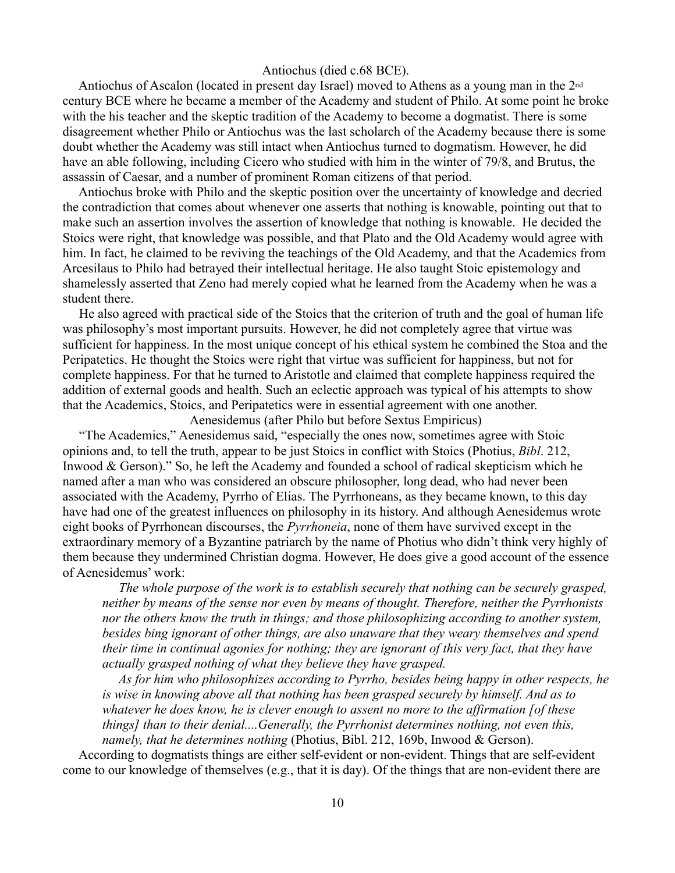### Antiochus (died c.68 BCE).

 Antiochus of Ascalon (located in present day Israel) moved to Athens as a young man in the 2nd century BCE where he became a member of the Academy and student of Philo. At some point he broke with the his teacher and the skeptic tradition of the Academy to become a dogmatist. There is some disagreement whether Philo or Antiochus was the last scholarch of the Academy because there is some doubt whether the Academy was still intact when Antiochus turned to dogmatism. However, he did have an able following, including Cicero who studied with him in the winter of 79/8, and Brutus, the assassin of Caesar, and a number of prominent Roman citizens of that period.

 Antiochus broke with Philo and the skeptic position over the uncertainty of knowledge and decried the contradiction that comes about whenever one asserts that nothing is knowable, pointing out that to make such an assertion involves the assertion of knowledge that nothing is knowable. He decided the Stoics were right, that knowledge was possible, and that Plato and the Old Academy would agree with him. In fact, he claimed to be reviving the teachings of the Old Academy, and that the Academics from Arcesilaus to Philo had betrayed their intellectual heritage. He also taught Stoic epistemology and shamelessly asserted that Zeno had merely copied what he learned from the Academy when he was a student there.

 He also agreed with practical side of the Stoics that the criterion of truth and the goal of human life was philosophy's most important pursuits. However, he did not completely agree that virtue was sufficient for happiness. In the most unique concept of his ethical system he combined the Stoa and the Peripatetics. He thought the Stoics were right that virtue was sufficient for happiness, but not for complete happiness. For that he turned to Aristotle and claimed that complete happiness required the addition of external goods and health. Such an eclectic approach was typical of his attempts to show that the Academics, Stoics, and Peripatetics were in essential agreement with one another.

Aenesidemus (after Philo but before Sextus Empiricus)

 "The Academics," Aenesidemus said, "especially the ones now, sometimes agree with Stoic opinions and, to tell the truth, appear to be just Stoics in conflict with Stoics (Photius, *Bibl*. 212, Inwood & Gerson)." So, he left the Academy and founded a school of radical skepticism which he named after a man who was considered an obscure philosopher, long dead, who had never been associated with the Academy, Pyrrho of Elias. The Pyrrhoneans, as they became known, to this day have had one of the greatest influences on philosophy in its history. And although Aenesidemus wrote eight books of Pyrrhonean discourses, the *Pyrrhoneia*, none of them have survived except in the extraordinary memory of a Byzantine patriarch by the name of Photius who didn't think very highly of them because they undermined Christian dogma. However, He does give a good account of the essence of Aenesidemus' work:

 *The whole purpose of the work is to establish securely that nothing can be securely grasped, neither by means of the sense nor even by means of thought. Therefore, neither the Pyrrhonists nor the others know the truth in things; and those philosophizing according to another system, besides bing ignorant of other things, are also unaware that they weary themselves and spend their time in continual agonies for nothing; they are ignorant of this very fact, that they have actually grasped nothing of what they believe they have grasped.*

 *As for him who philosophizes according to Pyrrho, besides being happy in other respects, he is wise in knowing above all that nothing has been grasped securely by himself. And as to whatever he does know, he is clever enough to assent no more to the affirmation [of these things] than to their denial....Generally, the Pyrrhonist determines nothing, not even this, namely, that he determines nothing* (Photius, Bibl. 212, 169b, Inwood & Gerson).

 According to dogmatists things are either self-evident or non-evident. Things that are self-evident come to our knowledge of themselves (e.g., that it is day). Of the things that are non-evident there are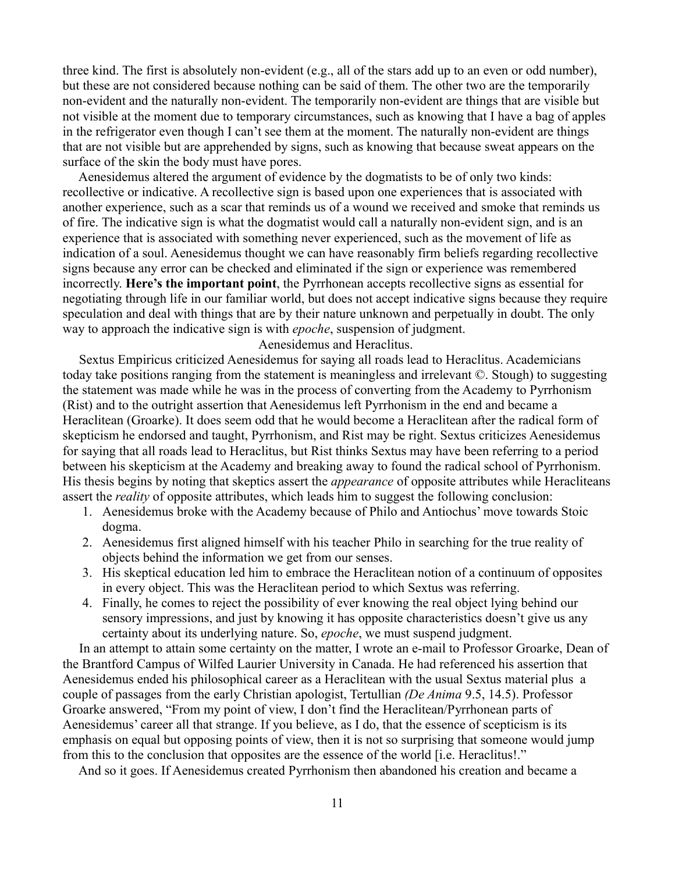three kind. The first is absolutely non-evident (e.g., all of the stars add up to an even or odd number), but these are not considered because nothing can be said of them. The other two are the temporarily non-evident and the naturally non-evident. The temporarily non-evident are things that are visible but not visible at the moment due to temporary circumstances, such as knowing that I have a bag of apples in the refrigerator even though I can't see them at the moment. The naturally non-evident are things that are not visible but are apprehended by signs, such as knowing that because sweat appears on the surface of the skin the body must have pores.

 Aenesidemus altered the argument of evidence by the dogmatists to be of only two kinds: recollective or indicative. A recollective sign is based upon one experiences that is associated with another experience, such as a scar that reminds us of a wound we received and smoke that reminds us of fire. The indicative sign is what the dogmatist would call a naturally non-evident sign, and is an experience that is associated with something never experienced, such as the movement of life as indication of a soul. Aenesidemus thought we can have reasonably firm beliefs regarding recollective signs because any error can be checked and eliminated if the sign or experience was remembered incorrectly. **Here's the important point**, the Pyrrhonean accepts recollective signs as essential for negotiating through life in our familiar world, but does not accept indicative signs because they require speculation and deal with things that are by their nature unknown and perpetually in doubt. The only way to approach the indicative sign is with *epoche*, suspension of judgment.

Aenesidemus and Heraclitus.

 Sextus Empiricus criticized Aenesidemus for saying all roads lead to Heraclitus. Academicians today take positions ranging from the statement is meaningless and irrelevant ©. Stough) to suggesting the statement was made while he was in the process of converting from the Academy to Pyrrhonism (Rist) and to the outright assertion that Aenesidemus left Pyrrhonism in the end and became a Heraclitean (Groarke). It does seem odd that he would become a Heraclitean after the radical form of skepticism he endorsed and taught, Pyrrhonism, and Rist may be right. Sextus criticizes Aenesidemus for saying that all roads lead to Heraclitus, but Rist thinks Sextus may have been referring to a period between his skepticism at the Academy and breaking away to found the radical school of Pyrrhonism. His thesis begins by noting that skeptics assert the *appearance* of opposite attributes while Heracliteans assert the *reality* of opposite attributes, which leads him to suggest the following conclusion:

- 1. Aenesidemus broke with the Academy because of Philo and Antiochus' move towards Stoic dogma.
- 2. Aenesidemus first aligned himself with his teacher Philo in searching for the true reality of objects behind the information we get from our senses.
- 3. His skeptical education led him to embrace the Heraclitean notion of a continuum of opposites in every object. This was the Heraclitean period to which Sextus was referring.
- 4. Finally, he comes to reject the possibility of ever knowing the real object lying behind our sensory impressions, and just by knowing it has opposite characteristics doesn't give us any certainty about its underlying nature. So, *epoche*, we must suspend judgment.

 In an attempt to attain some certainty on the matter, I wrote an e-mail to Professor Groarke, Dean of the Brantford Campus of Wilfed Laurier University in Canada. He had referenced his assertion that Aenesidemus ended his philosophical career as a Heraclitean with the usual Sextus material plus a couple of passages from the early Christian apologist, Tertullian *(De Anima* 9.5, 14.5). Professor Groarke answered, "From my point of view, I don't find the Heraclitean/Pyrrhonean parts of Aenesidemus' career all that strange. If you believe, as I do, that the essence of scepticism is its emphasis on equal but opposing points of view, then it is not so surprising that someone would jump from this to the conclusion that opposites are the essence of the world [i.e. Heraclitus!."

And so it goes. If Aenesidemus created Pyrrhonism then abandoned his creation and became a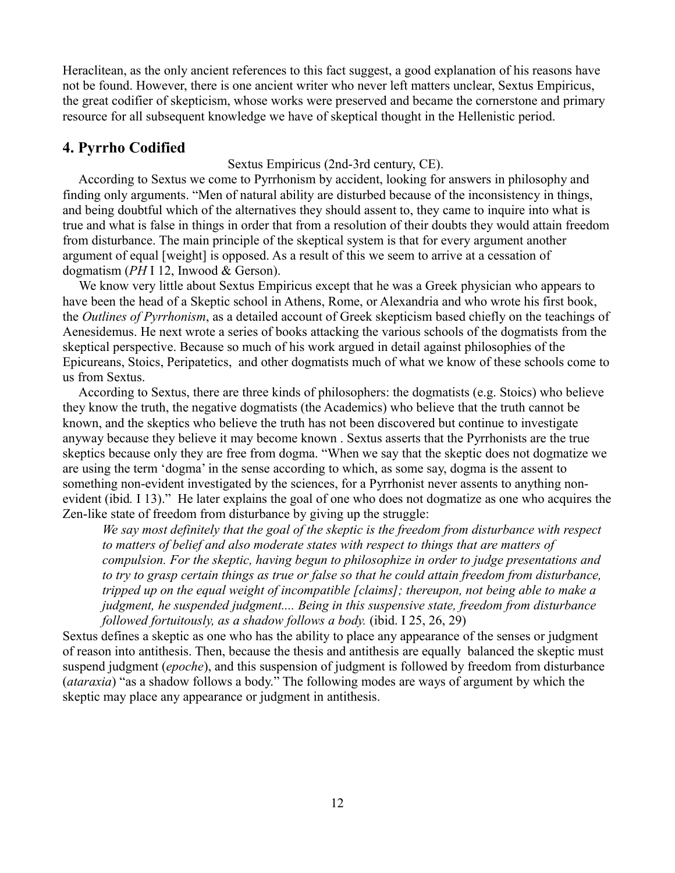Heraclitean, as the only ancient references to this fact suggest, a good explanation of his reasons have not be found. However, there is one ancient writer who never left matters unclear, Sextus Empiricus, the great codifier of skepticism, whose works were preserved and became the cornerstone and primary resource for all subsequent knowledge we have of skeptical thought in the Hellenistic period.

## **4. Pyrrho Codified**

Sextus Empiricus (2nd-3rd century, CE).

 According to Sextus we come to Pyrrhonism by accident, looking for answers in philosophy and finding only arguments. "Men of natural ability are disturbed because of the inconsistency in things, and being doubtful which of the alternatives they should assent to, they came to inquire into what is true and what is false in things in order that from a resolution of their doubts they would attain freedom from disturbance. The main principle of the skeptical system is that for every argument another argument of equal [weight] is opposed. As a result of this we seem to arrive at a cessation of dogmatism (*PH* I 12, Inwood & Gerson).

 We know very little about Sextus Empiricus except that he was a Greek physician who appears to have been the head of a Skeptic school in Athens, Rome, or Alexandria and who wrote his first book, the *Outlines of Pyrrhonism*, as a detailed account of Greek skepticism based chiefly on the teachings of Aenesidemus. He next wrote a series of books attacking the various schools of the dogmatists from the skeptical perspective. Because so much of his work argued in detail against philosophies of the Epicureans, Stoics, Peripatetics, and other dogmatists much of what we know of these schools come to us from Sextus.

 According to Sextus, there are three kinds of philosophers: the dogmatists (e.g. Stoics) who believe they know the truth, the negative dogmatists (the Academics) who believe that the truth cannot be known, and the skeptics who believe the truth has not been discovered but continue to investigate anyway because they believe it may become known . Sextus asserts that the Pyrrhonists are the true skeptics because only they are free from dogma. "When we say that the skeptic does not dogmatize we are using the term 'dogma' in the sense according to which, as some say, dogma is the assent to something non-evident investigated by the sciences, for a Pyrrhonist never assents to anything nonevident (ibid*.* I 13)." He later explains the goal of one who does not dogmatize as one who acquires the Zen-like state of freedom from disturbance by giving up the struggle:

*We say most definitely that the goal of the skeptic is the freedom from disturbance with respect to matters of belief and also moderate states with respect to things that are matters of compulsion. For the skeptic, having begun to philosophize in order to judge presentations and to try to grasp certain things as true or false so that he could attain freedom from disturbance, tripped up on the equal weight of incompatible [claims]; thereupon, not being able to make a judgment, he suspended judgment.... Being in this suspensive state, freedom from disturbance followed fortuitously, as a shadow follows a body.* (ibid. I 25, 26, 29)

Sextus defines a skeptic as one who has the ability to place any appearance of the senses or judgment of reason into antithesis. Then, because the thesis and antithesis are equally balanced the skeptic must suspend judgment (*epoche*), and this suspension of judgment is followed by freedom from disturbance (*ataraxia*) "as a shadow follows a body." The following modes are ways of argument by which the skeptic may place any appearance or judgment in antithesis.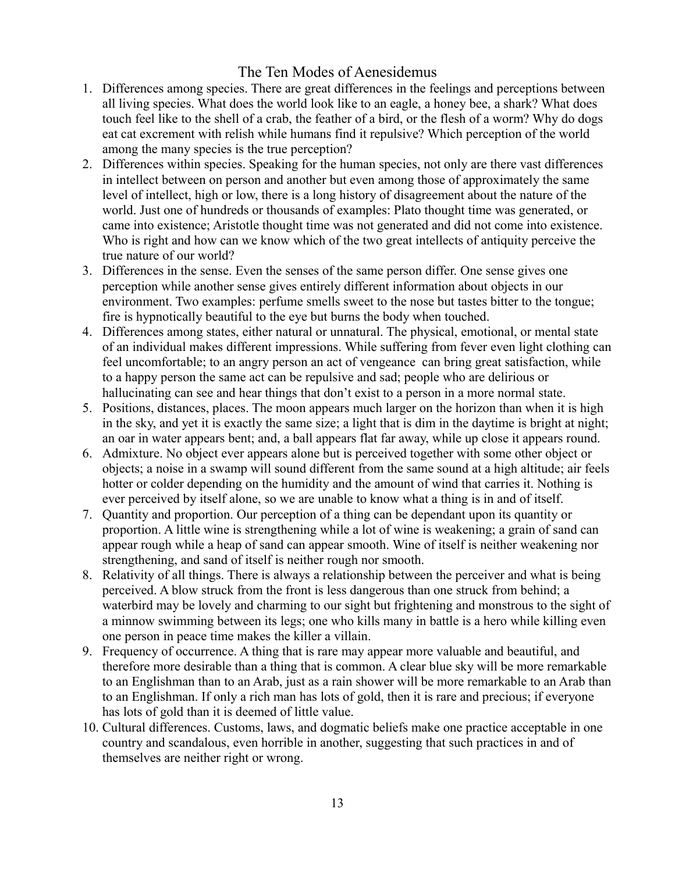## The Ten Modes of Aenesidemus

- 1. Differences among species. There are great differences in the feelings and perceptions between all living species. What does the world look like to an eagle, a honey bee, a shark? What does touch feel like to the shell of a crab, the feather of a bird, or the flesh of a worm? Why do dogs eat cat excrement with relish while humans find it repulsive? Which perception of the world among the many species is the true perception?
- 2. Differences within species. Speaking for the human species, not only are there vast differences in intellect between on person and another but even among those of approximately the same level of intellect, high or low, there is a long history of disagreement about the nature of the world. Just one of hundreds or thousands of examples: Plato thought time was generated, or came into existence; Aristotle thought time was not generated and did not come into existence. Who is right and how can we know which of the two great intellects of antiquity perceive the true nature of our world?
- 3. Differences in the sense. Even the senses of the same person differ. One sense gives one perception while another sense gives entirely different information about objects in our environment. Two examples: perfume smells sweet to the nose but tastes bitter to the tongue; fire is hypnotically beautiful to the eye but burns the body when touched.
- 4. Differences among states, either natural or unnatural. The physical, emotional, or mental state of an individual makes different impressions. While suffering from fever even light clothing can feel uncomfortable; to an angry person an act of vengeance can bring great satisfaction, while to a happy person the same act can be repulsive and sad; people who are delirious or hallucinating can see and hear things that don't exist to a person in a more normal state.
- 5. Positions, distances, places. The moon appears much larger on the horizon than when it is high in the sky, and yet it is exactly the same size; a light that is dim in the daytime is bright at night; an oar in water appears bent; and, a ball appears flat far away, while up close it appears round.
- 6. Admixture. No object ever appears alone but is perceived together with some other object or objects; a noise in a swamp will sound different from the same sound at a high altitude; air feels hotter or colder depending on the humidity and the amount of wind that carries it. Nothing is ever perceived by itself alone, so we are unable to know what a thing is in and of itself.
- 7. Quantity and proportion. Our perception of a thing can be dependant upon its quantity or proportion. A little wine is strengthening while a lot of wine is weakening; a grain of sand can appear rough while a heap of sand can appear smooth. Wine of itself is neither weakening nor strengthening, and sand of itself is neither rough nor smooth.
- 8. Relativity of all things. There is always a relationship between the perceiver and what is being perceived. A blow struck from the front is less dangerous than one struck from behind; a waterbird may be lovely and charming to our sight but frightening and monstrous to the sight of a minnow swimming between its legs; one who kills many in battle is a hero while killing even one person in peace time makes the killer a villain.
- 9. Frequency of occurrence. A thing that is rare may appear more valuable and beautiful, and therefore more desirable than a thing that is common. A clear blue sky will be more remarkable to an Englishman than to an Arab, just as a rain shower will be more remarkable to an Arab than to an Englishman. If only a rich man has lots of gold, then it is rare and precious; if everyone has lots of gold than it is deemed of little value.
- 10. Cultural differences. Customs, laws, and dogmatic beliefs make one practice acceptable in one country and scandalous, even horrible in another, suggesting that such practices in and of themselves are neither right or wrong.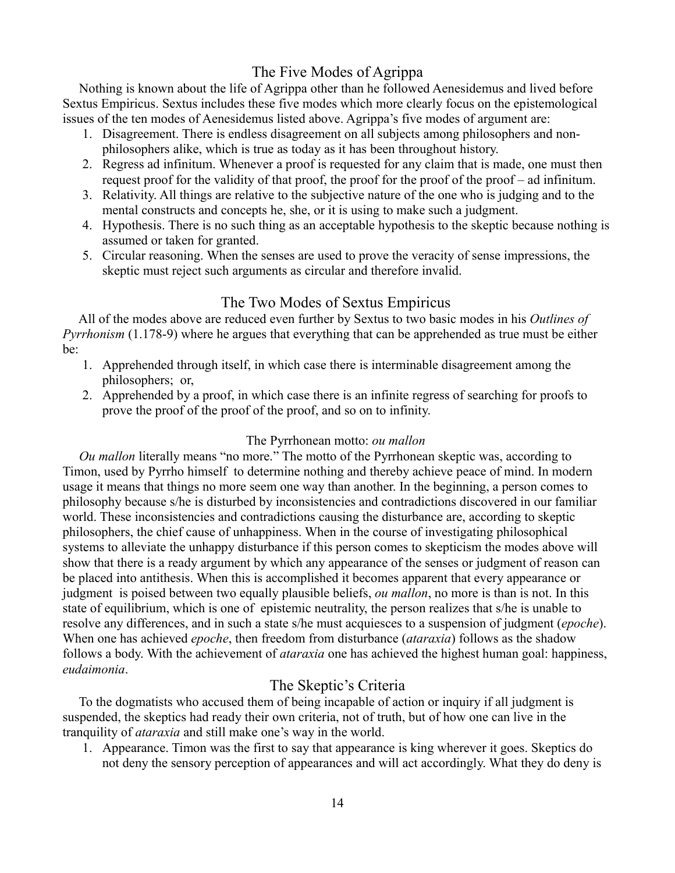## The Five Modes of Agrippa

 Nothing is known about the life of Agrippa other than he followed Aenesidemus and lived before Sextus Empiricus. Sextus includes these five modes which more clearly focus on the epistemological issues of the ten modes of Aenesidemus listed above. Agrippa's five modes of argument are:

- 1. Disagreement. There is endless disagreement on all subjects among philosophers and nonphilosophers alike, which is true as today as it has been throughout history.
- 2. Regress ad infinitum. Whenever a proof is requested for any claim that is made, one must then request proof for the validity of that proof, the proof for the proof of the proof – ad infinitum.
- 3. Relativity. All things are relative to the subjective nature of the one who is judging and to the mental constructs and concepts he, she, or it is using to make such a judgment.
- 4. Hypothesis. There is no such thing as an acceptable hypothesis to the skeptic because nothing is assumed or taken for granted.
- 5. Circular reasoning. When the senses are used to prove the veracity of sense impressions, the skeptic must reject such arguments as circular and therefore invalid.

## The Two Modes of Sextus Empiricus

 All of the modes above are reduced even further by Sextus to two basic modes in his *Outlines of Pyrrhonism* (1.178-9) where he argues that everything that can be apprehended as true must be either be:

- 1. Apprehended through itself, in which case there is interminable disagreement among the philosophers; or,
- 2. Apprehended by a proof, in which case there is an infinite regress of searching for proofs to prove the proof of the proof of the proof, and so on to infinity.

## The Pyrrhonean motto: *ou mallon*

*Ou mallon* literally means "no more." The motto of the Pyrrhonean skeptic was, according to Timon, used by Pyrrho himself to determine nothing and thereby achieve peace of mind. In modern usage it means that things no more seem one way than another. In the beginning, a person comes to philosophy because s/he is disturbed by inconsistencies and contradictions discovered in our familiar world. These inconsistencies and contradictions causing the disturbance are, according to skeptic philosophers, the chief cause of unhappiness. When in the course of investigating philosophical systems to alleviate the unhappy disturbance if this person comes to skepticism the modes above will show that there is a ready argument by which any appearance of the senses or judgment of reason can be placed into antithesis. When this is accomplished it becomes apparent that every appearance or judgment is poised between two equally plausible beliefs, *ou mallon*, no more is than is not. In this state of equilibrium, which is one of epistemic neutrality, the person realizes that s/he is unable to resolve any differences, and in such a state s/he must acquiesces to a suspension of judgment (*epoche*). When one has achieved *epoche*, then freedom from disturbance (*ataraxia*) follows as the shadow follows a body. With the achievement of *ataraxia* one has achieved the highest human goal: happiness, *eudaimonia*.

## The Skeptic's Criteria

 To the dogmatists who accused them of being incapable of action or inquiry if all judgment is suspended, the skeptics had ready their own criteria, not of truth, but of how one can live in the tranquility of *ataraxia* and still make one's way in the world.

1. Appearance. Timon was the first to say that appearance is king wherever it goes. Skeptics do not deny the sensory perception of appearances and will act accordingly. What they do deny is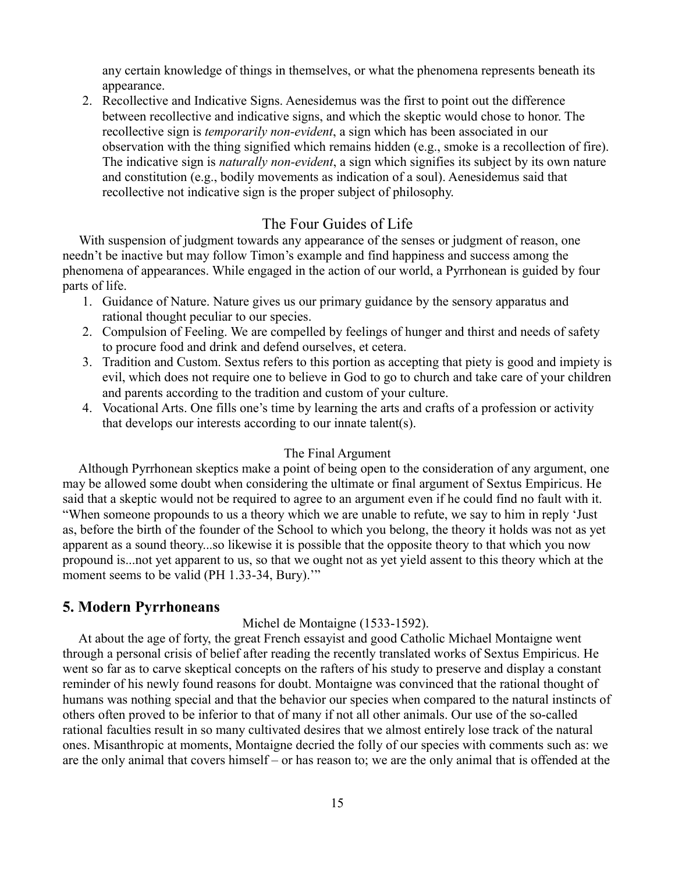any certain knowledge of things in themselves, or what the phenomena represents beneath its appearance.

2. Recollective and Indicative Signs. Aenesidemus was the first to point out the difference between recollective and indicative signs, and which the skeptic would chose to honor. The recollective sign is *temporarily non-evident*, a sign which has been associated in our observation with the thing signified which remains hidden (e.g., smoke is a recollection of fire). The indicative sign is *naturally non-evident*, a sign which signifies its subject by its own nature and constitution (e.g., bodily movements as indication of a soul). Aenesidemus said that recollective not indicative sign is the proper subject of philosophy.

## The Four Guides of Life

With suspension of judgment towards any appearance of the senses or judgment of reason, one needn't be inactive but may follow Timon's example and find happiness and success among the phenomena of appearances. While engaged in the action of our world, a Pyrrhonean is guided by four parts of life.

- 1. Guidance of Nature. Nature gives us our primary guidance by the sensory apparatus and rational thought peculiar to our species.
- 2. Compulsion of Feeling. We are compelled by feelings of hunger and thirst and needs of safety to procure food and drink and defend ourselves, et cetera.
- 3. Tradition and Custom. Sextus refers to this portion as accepting that piety is good and impiety is evil, which does not require one to believe in God to go to church and take care of your children and parents according to the tradition and custom of your culture.
- 4. Vocational Arts. One fills one's time by learning the arts and crafts of a profession or activity that develops our interests according to our innate talent(s).

### The Final Argument

 Although Pyrrhonean skeptics make a point of being open to the consideration of any argument, one may be allowed some doubt when considering the ultimate or final argument of Sextus Empiricus. He said that a skeptic would not be required to agree to an argument even if he could find no fault with it. "When someone propounds to us a theory which we are unable to refute, we say to him in reply 'Just as, before the birth of the founder of the School to which you belong, the theory it holds was not as yet apparent as a sound theory...so likewise it is possible that the opposite theory to that which you now propound is...not yet apparent to us, so that we ought not as yet yield assent to this theory which at the moment seems to be valid (PH 1.33-34, Bury)."

### **5. Modern Pyrrhoneans**

### Michel de Montaigne (1533-1592).

 At about the age of forty, the great French essayist and good Catholic Michael Montaigne went through a personal crisis of belief after reading the recently translated works of Sextus Empiricus. He went so far as to carve skeptical concepts on the rafters of his study to preserve and display a constant reminder of his newly found reasons for doubt. Montaigne was convinced that the rational thought of humans was nothing special and that the behavior our species when compared to the natural instincts of others often proved to be inferior to that of many if not all other animals. Our use of the so-called rational faculties result in so many cultivated desires that we almost entirely lose track of the natural ones. Misanthropic at moments, Montaigne decried the folly of our species with comments such as: we are the only animal that covers himself – or has reason to; we are the only animal that is offended at the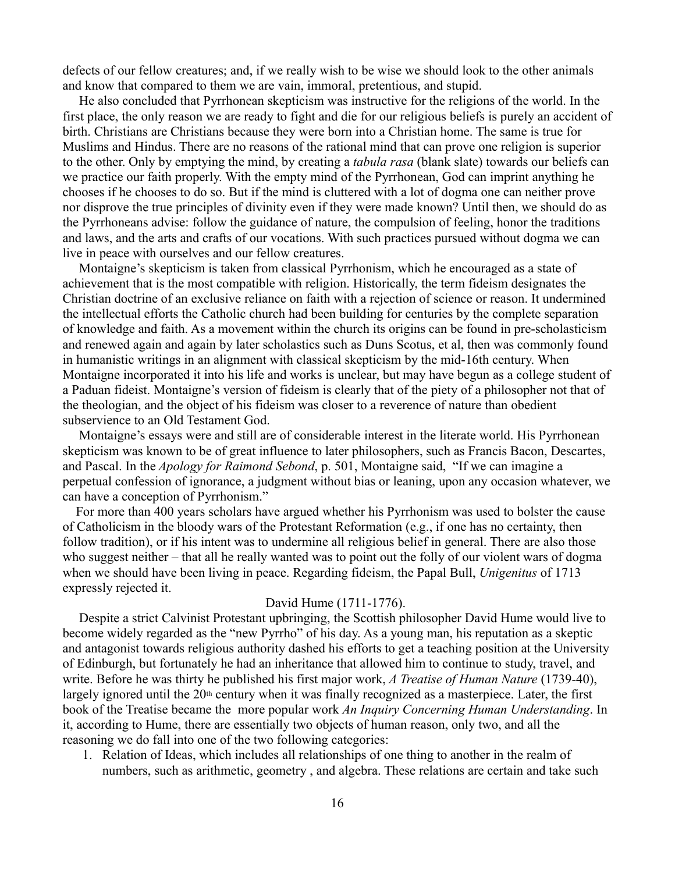defects of our fellow creatures; and, if we really wish to be wise we should look to the other animals and know that compared to them we are vain, immoral, pretentious, and stupid.

 He also concluded that Pyrrhonean skepticism was instructive for the religions of the world. In the first place, the only reason we are ready to fight and die for our religious beliefs is purely an accident of birth. Christians are Christians because they were born into a Christian home. The same is true for Muslims and Hindus. There are no reasons of the rational mind that can prove one religion is superior to the other. Only by emptying the mind, by creating a *tabula rasa* (blank slate) towards our beliefs can we practice our faith properly. With the empty mind of the Pyrrhonean, God can imprint anything he chooses if he chooses to do so. But if the mind is cluttered with a lot of dogma one can neither prove nor disprove the true principles of divinity even if they were made known? Until then, we should do as the Pyrrhoneans advise: follow the guidance of nature, the compulsion of feeling, honor the traditions and laws, and the arts and crafts of our vocations. With such practices pursued without dogma we can live in peace with ourselves and our fellow creatures.

 Montaigne's skepticism is taken from classical Pyrrhonism, which he encouraged as a state of achievement that is the most compatible with religion. Historically, the term fideism designates the Christian doctrine of an exclusive reliance on faith with a rejection of science or reason. It undermined the intellectual efforts the Catholic church had been building for centuries by the complete separation of knowledge and faith. As a movement within the church its origins can be found in pre-scholasticism and renewed again and again by later scholastics such as Duns Scotus, et al, then was commonly found in humanistic writings in an alignment with classical skepticism by the mid-16th century. When Montaigne incorporated it into his life and works is unclear, but may have begun as a college student of a Paduan fideist. Montaigne's version of fideism is clearly that of the piety of a philosopher not that of the theologian, and the object of his fideism was closer to a reverence of nature than obedient subservience to an Old Testament God.

 Montaigne's essays were and still are of considerable interest in the literate world. His Pyrrhonean skepticism was known to be of great influence to later philosophers, such as Francis Bacon, Descartes, and Pascal. In the *Apology for Raimond Sebond*, p. 501, Montaigne said, "If we can imagine a perpetual confession of ignorance, a judgment without bias or leaning, upon any occasion whatever, we can have a conception of Pyrrhonism."

 For more than 400 years scholars have argued whether his Pyrrhonism was used to bolster the cause of Catholicism in the bloody wars of the Protestant Reformation (e.g., if one has no certainty, then follow tradition), or if his intent was to undermine all religious belief in general. There are also those who suggest neither – that all he really wanted was to point out the folly of our violent wars of dogma when we should have been living in peace. Regarding fideism, the Papal Bull, *Unigenitus* of 1713 expressly rejected it.

#### David Hume (1711-1776).

 Despite a strict Calvinist Protestant upbringing, the Scottish philosopher David Hume would live to become widely regarded as the "new Pyrrho" of his day. As a young man, his reputation as a skeptic and antagonist towards religious authority dashed his efforts to get a teaching position at the University of Edinburgh, but fortunately he had an inheritance that allowed him to continue to study, travel, and write. Before he was thirty he published his first major work, *A Treatise of Human Nature* (1739-40), largely ignored until the 20<sup>th</sup> century when it was finally recognized as a masterpiece. Later, the first book of the Treatise became the more popular work *An Inquiry Concerning Human Understanding*. In it, according to Hume, there are essentially two objects of human reason, only two, and all the reasoning we do fall into one of the two following categories:

1. Relation of Ideas, which includes all relationships of one thing to another in the realm of numbers, such as arithmetic, geometry , and algebra. These relations are certain and take such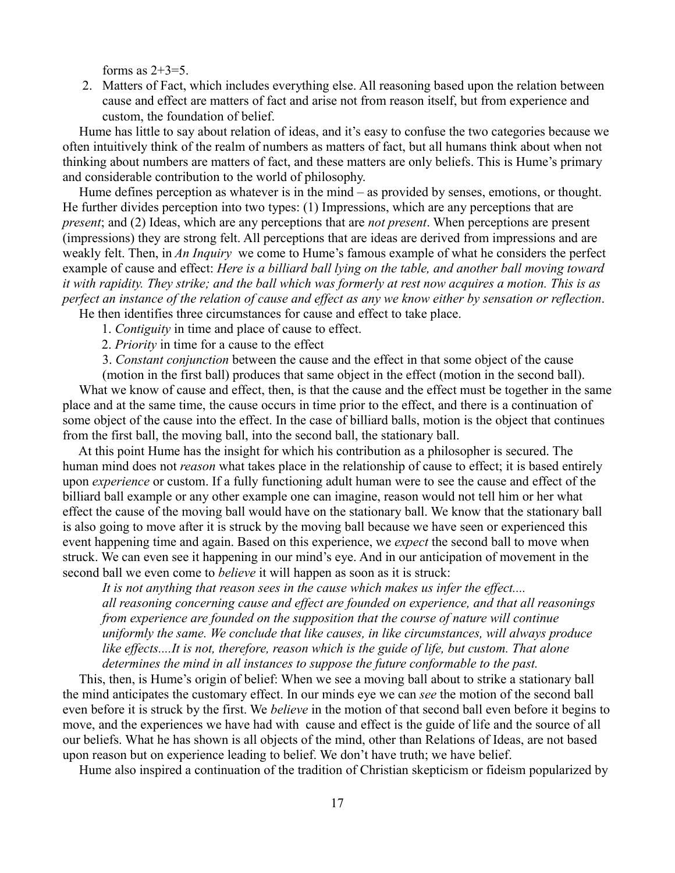forms as  $2+3=5$ .

2. Matters of Fact, which includes everything else. All reasoning based upon the relation between cause and effect are matters of fact and arise not from reason itself, but from experience and custom, the foundation of belief.

 Hume has little to say about relation of ideas, and it's easy to confuse the two categories because we often intuitively think of the realm of numbers as matters of fact, but all humans think about when not thinking about numbers are matters of fact, and these matters are only beliefs. This is Hume's primary and considerable contribution to the world of philosophy.

Hume defines perception as whatever is in the mind – as provided by senses, emotions, or thought. He further divides perception into two types: (1) Impressions, which are any perceptions that are *present*; and (2) Ideas, which are any perceptions that are *not present*. When perceptions are present (impressions) they are strong felt. All perceptions that are ideas are derived from impressions and are weakly felt. Then, in *An Inquiry* we come to Hume's famous example of what he considers the perfect example of cause and effect: *Here is a billiard ball lying on the table, and another ball moving toward it with rapidity. They strike; and the ball which was formerly at rest now acquires a motion. This is as perfect an instance of the relation of cause and effect as any we know either by sensation or reflection*.

He then identifies three circumstances for cause and effect to take place.

1. *Contiguity* in time and place of cause to effect.

2. *Priority* in time for a cause to the effect

3. *Constant conjunction* between the cause and the effect in that some object of the cause

(motion in the first ball) produces that same object in the effect (motion in the second ball). What we know of cause and effect, then, is that the cause and the effect must be together in the same place and at the same time, the cause occurs in time prior to the effect, and there is a continuation of some object of the cause into the effect. In the case of billiard balls, motion is the object that continues from the first ball, the moving ball, into the second ball, the stationary ball.

 At this point Hume has the insight for which his contribution as a philosopher is secured. The human mind does not *reason* what takes place in the relationship of cause to effect; it is based entirely upon *experience* or custom. If a fully functioning adult human were to see the cause and effect of the billiard ball example or any other example one can imagine, reason would not tell him or her what effect the cause of the moving ball would have on the stationary ball. We know that the stationary ball is also going to move after it is struck by the moving ball because we have seen or experienced this event happening time and again. Based on this experience, we *expect* the second ball to move when struck. We can even see it happening in our mind's eye. And in our anticipation of movement in the second ball we even come to *believe* it will happen as soon as it is struck:

*It is not anything that reason sees in the cause which makes us infer the effect.... all reasoning concerning cause and effect are founded on experience, and that all reasonings from experience are founded on the supposition that the course of nature will continue uniformly the same. We conclude that like causes, in like circumstances, will always produce like effects....It is not, therefore, reason which is the guide of life, but custom. That alone determines the mind in all instances to suppose the future conformable to the past.*

 This, then, is Hume's origin of belief: When we see a moving ball about to strike a stationary ball the mind anticipates the customary effect. In our minds eye we can *see* the motion of the second ball even before it is struck by the first. We *believe* in the motion of that second ball even before it begins to move, and the experiences we have had with cause and effect is the guide of life and the source of all our beliefs. What he has shown is all objects of the mind, other than Relations of Ideas, are not based upon reason but on experience leading to belief. We don't have truth; we have belief.

Hume also inspired a continuation of the tradition of Christian skepticism or fideism popularized by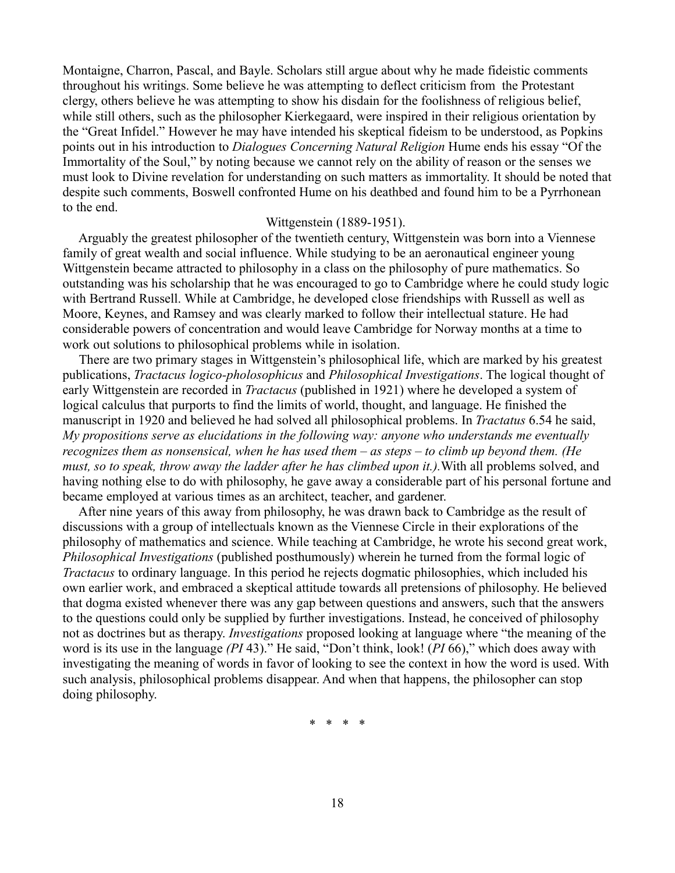Montaigne, Charron, Pascal, and Bayle. Scholars still argue about why he made fideistic comments throughout his writings. Some believe he was attempting to deflect criticism from the Protestant clergy, others believe he was attempting to show his disdain for the foolishness of religious belief, while still others, such as the philosopher Kierkegaard, were inspired in their religious orientation by the "Great Infidel." However he may have intended his skeptical fideism to be understood, as Popkins points out in his introduction to *Dialogues Concerning Natural Religion* Hume ends his essay "Of the Immortality of the Soul," by noting because we cannot rely on the ability of reason or the senses we must look to Divine revelation for understanding on such matters as immortality. It should be noted that despite such comments, Boswell confronted Hume on his deathbed and found him to be a Pyrrhonean to the end.

#### Wittgenstein (1889-1951).

 Arguably the greatest philosopher of the twentieth century, Wittgenstein was born into a Viennese family of great wealth and social influence. While studying to be an aeronautical engineer young Wittgenstein became attracted to philosophy in a class on the philosophy of pure mathematics. So outstanding was his scholarship that he was encouraged to go to Cambridge where he could study logic with Bertrand Russell. While at Cambridge, he developed close friendships with Russell as well as Moore, Keynes, and Ramsey and was clearly marked to follow their intellectual stature. He had considerable powers of concentration and would leave Cambridge for Norway months at a time to work out solutions to philosophical problems while in isolation.

 There are two primary stages in Wittgenstein's philosophical life, which are marked by his greatest publications, *Tractacus logico-pholosophicus* and *Philosophical Investigations*. The logical thought of early Wittgenstein are recorded in *Tractacus* (published in 1921) where he developed a system of logical calculus that purports to find the limits of world, thought, and language. He finished the manuscript in 1920 and believed he had solved all philosophical problems. In *Tractatus* 6.54 he said, *My propositions serve as elucidations in the following way: anyone who understands me eventually recognizes them as nonsensical, when he has used them – as steps – to climb up beyond them. (He must, so to speak, throw away the ladder after he has climbed upon it.).*With all problems solved, and having nothing else to do with philosophy, he gave away a considerable part of his personal fortune and became employed at various times as an architect, teacher, and gardener.

 After nine years of this away from philosophy, he was drawn back to Cambridge as the result of discussions with a group of intellectuals known as the Viennese Circle in their explorations of the philosophy of mathematics and science. While teaching at Cambridge, he wrote his second great work, *Philosophical Investigations* (published posthumously) wherein he turned from the formal logic of *Tractacus* to ordinary language. In this period he rejects dogmatic philosophies, which included his own earlier work, and embraced a skeptical attitude towards all pretensions of philosophy. He believed that dogma existed whenever there was any gap between questions and answers, such that the answers to the questions could only be supplied by further investigations. Instead, he conceived of philosophy not as doctrines but as therapy. *Investigations* proposed looking at language where "the meaning of the word is its use in the language *(PI* 43)." He said, "Don't think, look! (*PI* 66)," which does away with investigating the meaning of words in favor of looking to see the context in how the word is used. With such analysis, philosophical problems disappear. And when that happens, the philosopher can stop doing philosophy.

\* \* \* \*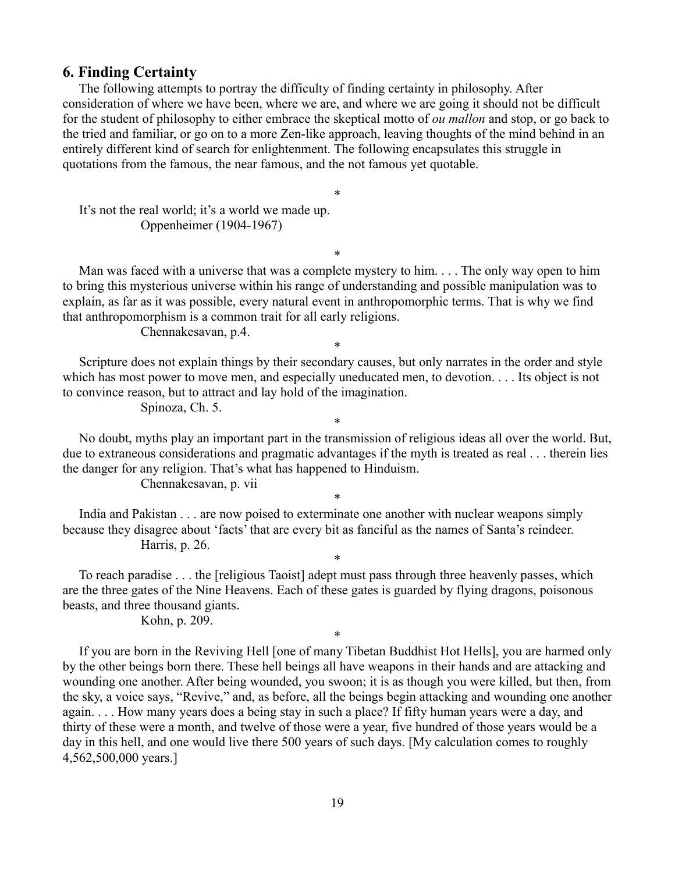### **6. Finding Certainty**

The following attempts to portray the difficulty of finding certainty in philosophy. After consideration of where we have been, where we are, and where we are going it should not be difficult for the student of philosophy to either embrace the skeptical motto of *ou mallon* and stop, or go back to the tried and familiar, or go on to a more Zen-like approach, leaving thoughts of the mind behind in an entirely different kind of search for enlightenment. The following encapsulates this struggle in quotations from the famous, the near famous, and the not famous yet quotable.

\*

 It's not the real world; it's a world we made up. Oppenheimer (1904-1967)

\*

 Man was faced with a universe that was a complete mystery to him. . . . The only way open to him to bring this mysterious universe within his range of understanding and possible manipulation was to explain, as far as it was possible, every natural event in anthropomorphic terms. That is why we find that anthropomorphism is a common trait for all early religions.

Chennakesavan, p.4.

\*

 Scripture does not explain things by their secondary causes, but only narrates in the order and style which has most power to move men, and especially uneducated men, to devotion. . . . Its object is not to convince reason, but to attract and lay hold of the imagination.

Spinoza, Ch. 5.

 No doubt, myths play an important part in the transmission of religious ideas all over the world. But, due to extraneous considerations and pragmatic advantages if the myth is treated as real . . . therein lies the danger for any religion. That's what has happened to Hinduism.

\*

\*

\*

\*

Chennakesavan, p. vii

India and Pakistan . . . are now poised to exterminate one another with nuclear weapons simply because they disagree about 'facts' that are every bit as fanciful as the names of Santa's reindeer. Harris, p. 26.

 To reach paradise . . . the [religious Taoist] adept must pass through three heavenly passes, which are the three gates of the Nine Heavens. Each of these gates is guarded by flying dragons, poisonous beasts, and three thousand giants.

Kohn, p. 209.

 If you are born in the Reviving Hell [one of many Tibetan Buddhist Hot Hells], you are harmed only by the other beings born there. These hell beings all have weapons in their hands and are attacking and wounding one another. After being wounded, you swoon; it is as though you were killed, but then, from the sky, a voice says, "Revive," and, as before, all the beings begin attacking and wounding one another again. . . . How many years does a being stay in such a place? If fifty human years were a day, and thirty of these were a month, and twelve of those were a year, five hundred of those years would be a day in this hell, and one would live there 500 years of such days. [My calculation comes to roughly 4,562,500,000 years.]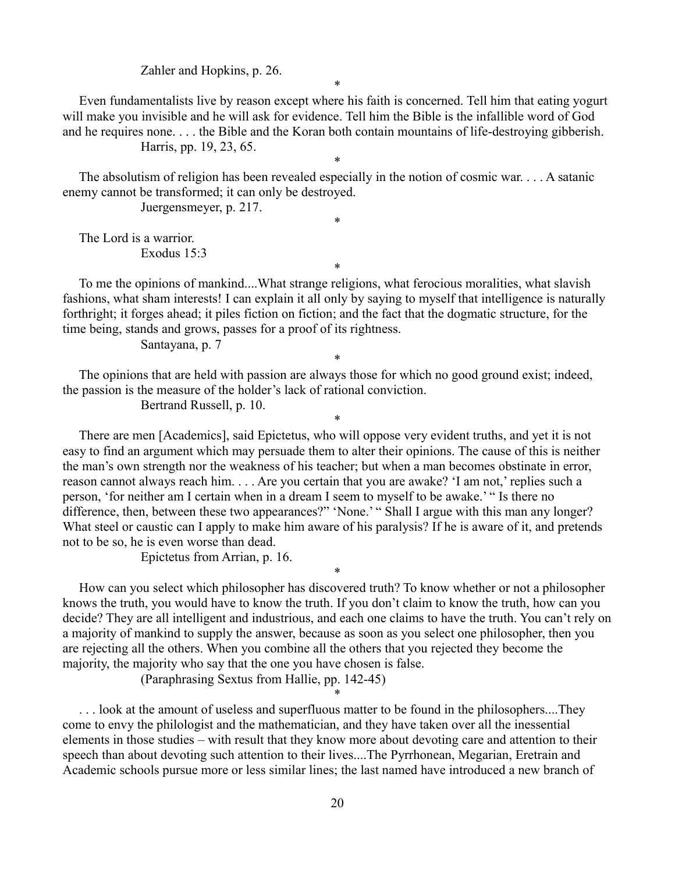Zahler and Hopkins, p. 26.

\*

 Even fundamentalists live by reason except where his faith is concerned. Tell him that eating yogurt will make you invisible and he will ask for evidence. Tell him the Bible is the infallible word of God and he requires none. . . . the Bible and the Koran both contain mountains of life-destroying gibberish. Harris, pp. 19, 23, 65.

\*

\*

\*

 The absolutism of religion has been revealed especially in the notion of cosmic war. . . . A satanic enemy cannot be transformed; it can only be destroyed.

Juergensmeyer, p. 217.

 The Lord is a warrior. Exodus 15:3

 To me the opinions of mankind....What strange religions, what ferocious moralities, what slavish fashions, what sham interests! I can explain it all only by saying to myself that intelligence is naturally forthright; it forges ahead; it piles fiction on fiction; and the fact that the dogmatic structure, for the time being, stands and grows, passes for a proof of its rightness.

\*

\*

Santayana, p. 7

 The opinions that are held with passion are always those for which no good ground exist; indeed, the passion is the measure of the holder's lack of rational conviction.

Bertrand Russell, p. 10.

 There are men [Academics], said Epictetus, who will oppose very evident truths, and yet it is not easy to find an argument which may persuade them to alter their opinions. The cause of this is neither the man's own strength nor the weakness of his teacher; but when a man becomes obstinate in error, reason cannot always reach him. . . . Are you certain that you are awake? 'I am not,' replies such a person, 'for neither am I certain when in a dream I seem to myself to be awake.' " Is there no difference, then, between these two appearances?" 'None.' " Shall I argue with this man any longer? What steel or caustic can I apply to make him aware of his paralysis? If he is aware of it, and pretends not to be so, he is even worse than dead.

Epictetus from Arrian, p. 16.

 How can you select which philosopher has discovered truth? To know whether or not a philosopher knows the truth, you would have to know the truth. If you don't claim to know the truth, how can you decide? They are all intelligent and industrious, and each one claims to have the truth. You can't rely on a majority of mankind to supply the answer, because as soon as you select one philosopher, then you are rejecting all the others. When you combine all the others that you rejected they become the majority, the majority who say that the one you have chosen is false.

\*

\*

(Paraphrasing Sextus from Hallie, pp. 142-45)

... look at the amount of useless and superfluous matter to be found in the philosophers....They come to envy the philologist and the mathematician, and they have taken over all the inessential elements in those studies – with result that they know more about devoting care and attention to their speech than about devoting such attention to their lives....The Pyrrhonean, Megarian, Eretrain and Academic schools pursue more or less similar lines; the last named have introduced a new branch of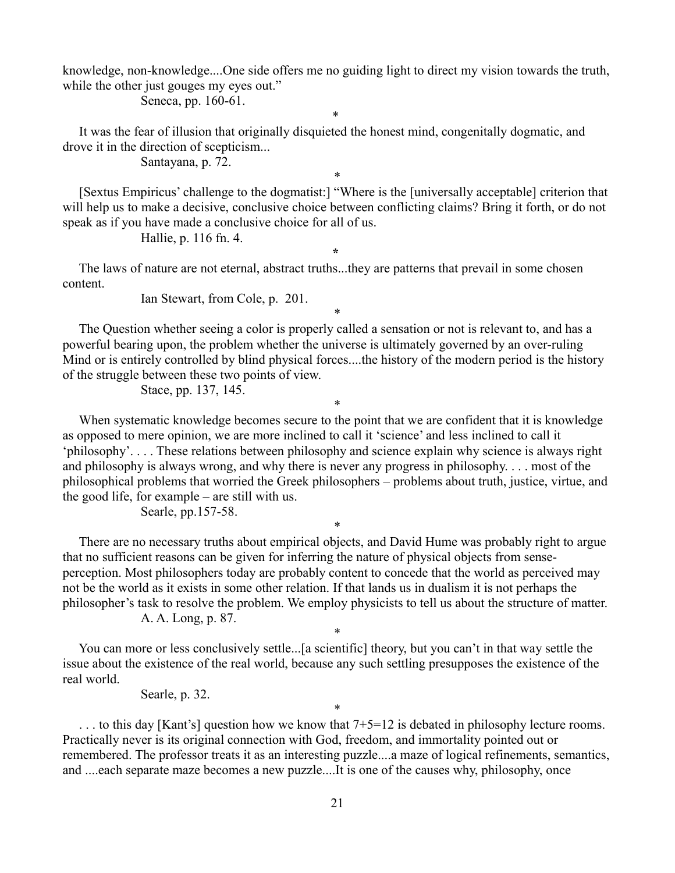knowledge, non-knowledge....One side offers me no guiding light to direct my vision towards the truth, while the other just gouges my eyes out."

\*

Seneca, pp. 160-61.

 It was the fear of illusion that originally disquieted the honest mind, congenitally dogmatic, and drove it in the direction of scepticism...

Santayana, p. 72.

 [Sextus Empiricus' challenge to the dogmatist:] "Where is the [universally acceptable] criterion that will help us to make a decisive, conclusive choice between conflicting claims? Bring it forth, or do not speak as if you have made a conclusive choice for all of us.

\*

Hallie, p. 116 fn. 4.

**\*** 

 The laws of nature are not eternal, abstract truths...they are patterns that prevail in some chosen content.

Ian Stewart, from Cole, p. 201.

 The Question whether seeing a color is properly called a sensation or not is relevant to, and has a powerful bearing upon, the problem whether the universe is ultimately governed by an over-ruling Mind or is entirely controlled by blind physical forces....the history of the modern period is the history of the struggle between these two points of view.

\*

\*

Stace, pp. 137, 145.

When systematic knowledge becomes secure to the point that we are confident that it is knowledge as opposed to mere opinion, we are more inclined to call it 'science' and less inclined to call it 'philosophy'. . . . These relations between philosophy and science explain why science is always right and philosophy is always wrong, and why there is never any progress in philosophy. . . . most of the philosophical problems that worried the Greek philosophers – problems about truth, justice, virtue, and the good life, for example – are still with us.

Searle, pp.157-58.

 There are no necessary truths about empirical objects, and David Hume was probably right to argue that no sufficient reasons can be given for inferring the nature of physical objects from senseperception. Most philosophers today are probably content to concede that the world as perceived may not be the world as it exists in some other relation. If that lands us in dualism it is not perhaps the philosopher's task to resolve the problem. We employ physicists to tell us about the structure of matter. A. A. Long, p. 87.

\*

\* You can more or less conclusively settle...[a scientific] theory, but you can't in that way settle the issue about the existence of the real world, because any such settling presupposes the existence of the real world.

Searle, p. 32.

 $\ldots$  to this day [Kant's] question how we know that  $7+5=12$  is debated in philosophy lecture rooms. Practically never is its original connection with God, freedom, and immortality pointed out or remembered. The professor treats it as an interesting puzzle....a maze of logical refinements, semantics, and ....each separate maze becomes a new puzzle....It is one of the causes why, philosophy, once

\*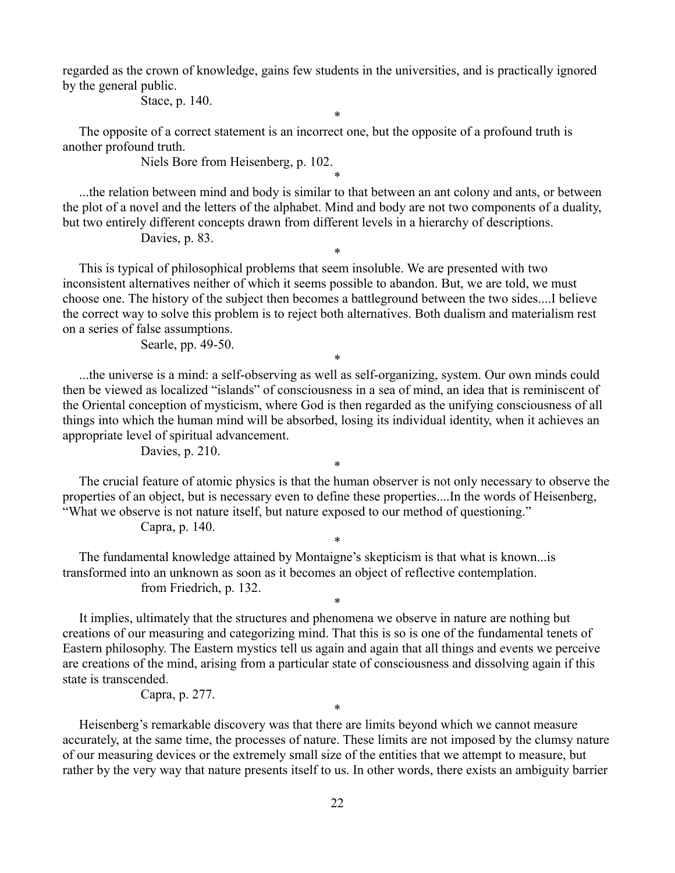regarded as the crown of knowledge, gains few students in the universities, and is practically ignored by the general public.

Stace, p. 140.

\*

 The opposite of a correct statement is an incorrect one, but the opposite of a profound truth is another profound truth.

Niels Bore from Heisenberg, p. 102.

 ...the relation between mind and body is similar to that between an ant colony and ants, or between the plot of a novel and the letters of the alphabet. Mind and body are not two components of a duality, but two entirely different concepts drawn from different levels in a hierarchy of descriptions.

\*

\*

Davies, p. 83.

 This is typical of philosophical problems that seem insoluble. We are presented with two inconsistent alternatives neither of which it seems possible to abandon. But, we are told, we must choose one. The history of the subject then becomes a battleground between the two sides....I believe the correct way to solve this problem is to reject both alternatives. Both dualism and materialism rest on a series of false assumptions.

Searle, pp. 49-50.

 ...the universe is a mind: a self-observing as well as self-organizing, system. Our own minds could then be viewed as localized "islands" of consciousness in a sea of mind, an idea that is reminiscent of the Oriental conception of mysticism, where God is then regarded as the unifying consciousness of all things into which the human mind will be absorbed, losing its individual identity, when it achieves an appropriate level of spiritual advancement.

\*

Davies, p. 210.

 The crucial feature of atomic physics is that the human observer is not only necessary to observe the properties of an object, but is necessary even to define these properties....In the words of Heisenberg, "What we observe is not nature itself, but nature exposed to our method of questioning."

\*

\*

\*

Capra, p. 140.

 The fundamental knowledge attained by Montaigne's skepticism is that what is known...is transformed into an unknown as soon as it becomes an object of reflective contemplation. from Friedrich, p. 132.

 It implies, ultimately that the structures and phenomena we observe in nature are nothing but creations of our measuring and categorizing mind. That this is so is one of the fundamental tenets of Eastern philosophy. The Eastern mystics tell us again and again that all things and events we perceive are creations of the mind, arising from a particular state of consciousness and dissolving again if this state is transcended.

Capra, p. 277.

 Heisenberg's remarkable discovery was that there are limits beyond which we cannot measure accurately, at the same time, the processes of nature. These limits are not imposed by the clumsy nature of our measuring devices or the extremely small size of the entities that we attempt to measure, but rather by the very way that nature presents itself to us. In other words, there exists an ambiguity barrier

\*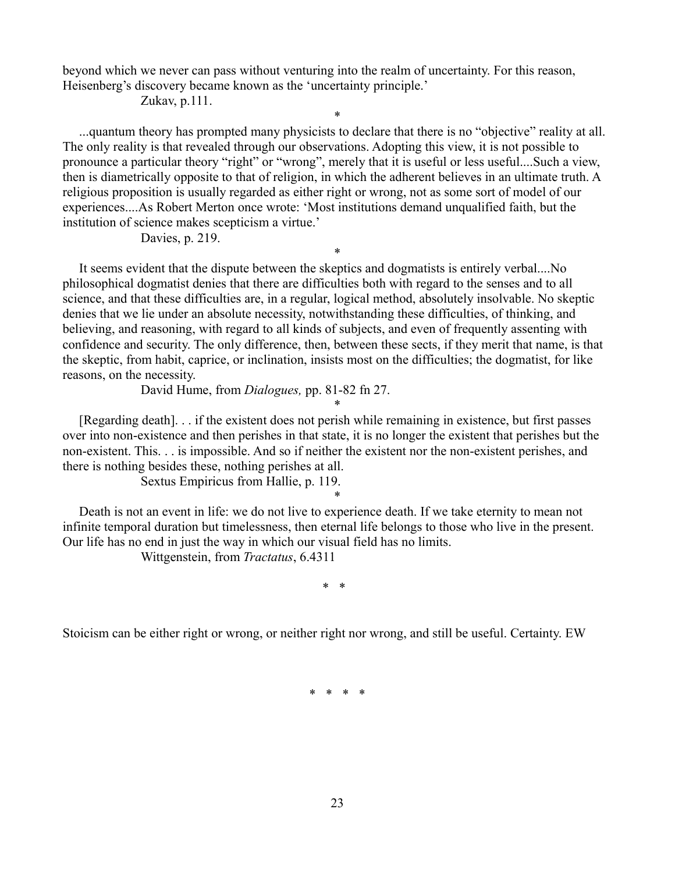beyond which we never can pass without venturing into the realm of uncertainty. For this reason, Heisenberg's discovery became known as the 'uncertainty principle.'

Zukav, p.111.

 ...quantum theory has prompted many physicists to declare that there is no "objective" reality at all. The only reality is that revealed through our observations. Adopting this view, it is not possible to pronounce a particular theory "right" or "wrong", merely that it is useful or less useful....Such a view, then is diametrically opposite to that of religion, in which the adherent believes in an ultimate truth. A religious proposition is usually regarded as either right or wrong, not as some sort of model of our experiences....As Robert Merton once wrote: 'Most institutions demand unqualified faith, but the institution of science makes scepticism a virtue.'

\*

Davies, p. 219.

 It seems evident that the dispute between the skeptics and dogmatists is entirely verbal....No philosophical dogmatist denies that there are difficulties both with regard to the senses and to all science, and that these difficulties are, in a regular, logical method, absolutely insolvable. No skeptic denies that we lie under an absolute necessity, notwithstanding these difficulties, of thinking, and believing, and reasoning, with regard to all kinds of subjects, and even of frequently assenting with confidence and security. The only difference, then, between these sects, if they merit that name, is that the skeptic, from habit, caprice, or inclination, insists most on the difficulties; the dogmatist, for like reasons, on the necessity.

\*

David Hume, from *Dialogues,* pp. 81-82 fn 27.

 [Regarding death]. . . if the existent does not perish while remaining in existence, but first passes over into non-existence and then perishes in that state, it is no longer the existent that perishes but the non-existent. This. . . is impossible. And so if neither the existent nor the non-existent perishes, and there is nothing besides these, nothing perishes at all.

\*

Sextus Empiricus from Hallie, p. 119.

\* Death is not an event in life: we do not live to experience death. If we take eternity to mean not infinite temporal duration but timelessness, then eternal life belongs to those who live in the present. Our life has no end in just the way in which our visual field has no limits.

Wittgenstein, from *Tractatus*, 6.4311

\* \*

Stoicism can be either right or wrong, or neither right nor wrong, and still be useful. Certainty. EW

\* \* \* \*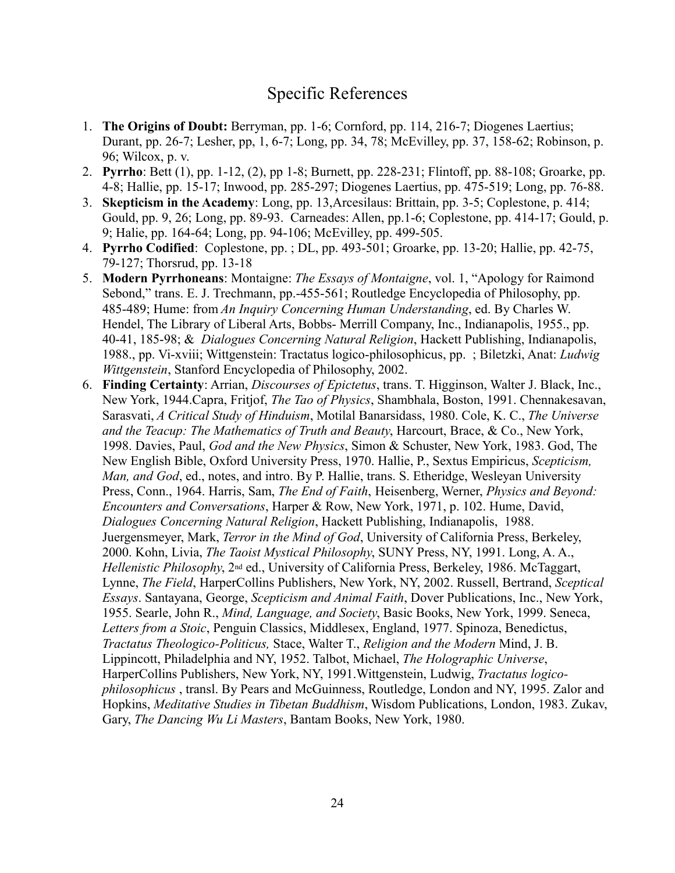# Specific References

- 1. **The Origins of Doubt:** Berryman, pp. 1-6; Cornford, pp. 114, 216-7; Diogenes Laertius; Durant, pp. 26-7; Lesher, pp, 1, 6-7; Long, pp. 34, 78; McEvilley, pp. 37, 158-62; Robinson, p. 96; Wilcox, p. v.
- 2. **Pyrrho**: Bett (1), pp. 1-12, (2), pp 1-8; Burnett, pp. 228-231; Flintoff, pp. 88-108; Groarke, pp. 4-8; Hallie, pp. 15-17; Inwood, pp. 285-297; Diogenes Laertius, pp. 475-519; Long, pp. 76-88.
- 3. **Skepticism in the Academy**: Long, pp. 13,Arcesilaus: Brittain, pp. 3-5; Coplestone, p. 414; Gould, pp. 9, 26; Long, pp. 89-93. Carneades: Allen, pp.1-6; Coplestone, pp. 414-17; Gould, p. 9; Halie, pp. 164-64; Long, pp. 94-106; McEvilley, pp. 499-505.
- 4. **Pyrrho Codified**: Coplestone, pp. ; DL, pp. 493-501; Groarke, pp. 13-20; Hallie, pp. 42-75, 79-127; Thorsrud, pp. 13-18
- 5. **Modern Pyrrhoneans**: Montaigne: *The Essays of Montaigne*, vol. 1, "Apology for Raimond Sebond," trans. E. J. Trechmann, pp.-455-561; Routledge Encyclopedia of Philosophy, pp. 485-489; Hume: from *An Inquiry Concerning Human Understanding*, ed. By Charles W. Hendel, The Library of Liberal Arts, Bobbs- Merrill Company, Inc., Indianapolis, 1955., pp. 40-41, 185-98; & *Dialogues Concerning Natural Religion*, Hackett Publishing, Indianapolis, 1988., pp. Vi-xviii; Wittgenstein: Tractatus logico-philosophicus, pp. ; Biletzki, Anat: *Ludwig Wittgenstein*, Stanford Encyclopedia of Philosophy, 2002.
- 6. **Finding Certainty**: Arrian, *Discourses of Epictetus*, trans. T. Higginson, Walter J. Black, Inc., New York, 1944.Capra, Fritjof, *The Tao of Physics*, Shambhala, Boston, 1991. Chennakesavan, Sarasvati, *A Critical Study of Hinduism*, Motilal Banarsidass, 1980. Cole, K. C., *The Universe and the Teacup: The Mathematics of Truth and Beauty*, Harcourt, Brace, & Co., New York, 1998. Davies, Paul, *God and the New Physics*, Simon & Schuster, New York, 1983. God, The New English Bible, Oxford University Press, 1970. Hallie, P., Sextus Empiricus, *Scepticism, Man, and God*, ed., notes, and intro. By P. Hallie, trans. S. Etheridge, Wesleyan University Press, Conn., 1964. Harris, Sam, *The End of Faith*, Heisenberg, Werner, *Physics and Beyond: Encounters and Conversations*, Harper & Row, New York, 1971, p. 102. Hume, David, *Dialogues Concerning Natural Religion*, Hackett Publishing, Indianapolis, 1988. Juergensmeyer, Mark, *Terror in the Mind of God*, University of California Press, Berkeley, 2000. Kohn, Livia, *The Taoist Mystical Philosophy*, SUNY Press, NY, 1991. Long, A. A., *Hellenistic Philosophy*, 2nd ed., University of California Press, Berkeley, 1986. McTaggart, Lynne, *The Field*, HarperCollins Publishers, New York, NY, 2002. Russell, Bertrand, *Sceptical Essays*. Santayana, George, *Scepticism and Animal Faith*, Dover Publications, Inc., New York, 1955. Searle, John R., *Mind, Language, and Society*, Basic Books, New York, 1999. Seneca, *Letters from a Stoic*, Penguin Classics, Middlesex, England, 1977. Spinoza, Benedictus, *Tractatus Theologico-Politicus,* Stace, Walter T., *Religion and the Modern* Mind, J. B. Lippincott, Philadelphia and NY, 1952. Talbot, Michael, *The Holographic Universe*, HarperCollins Publishers, New York, NY, 1991.Wittgenstein, Ludwig, *Tractatus logicophilosophicus* , transl. By Pears and McGuinness, Routledge, London and NY, 1995. Zalor and Hopkins, *Meditative Studies in Tibetan Buddhism*, Wisdom Publications, London, 1983. Zukav, Gary, *The Dancing Wu Li Masters*, Bantam Books, New York, 1980.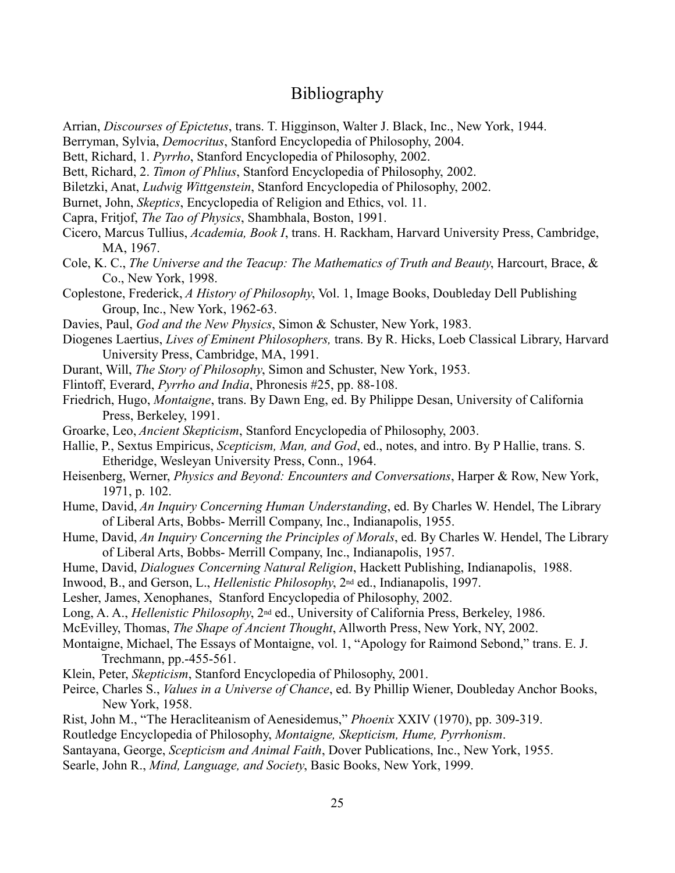# Bibliography

Arrian, *Discourses of Epictetus*, trans. T. Higginson, Walter J. Black, Inc., New York, 1944.

Berryman, Sylvia, *Democritus*, Stanford Encyclopedia of Philosophy, 2004.

Bett, Richard, 1. *Pyrrho*, Stanford Encyclopedia of Philosophy, 2002.

Bett, Richard, 2. *Timon of Phlius*, Stanford Encyclopedia of Philosophy, 2002.

Biletzki, Anat, *Ludwig Wittgenstein*, Stanford Encyclopedia of Philosophy, 2002.

Burnet, John, *Skeptics*, Encyclopedia of Religion and Ethics, vol. 11.

- Capra, Fritjof, *The Tao of Physics*, Shambhala, Boston, 1991.
- Cicero, Marcus Tullius, *Academia, Book I*, trans. H. Rackham, Harvard University Press, Cambridge, MA, 1967.
- Cole, K. C., *The Universe and the Teacup: The Mathematics of Truth and Beauty*, Harcourt, Brace, & Co., New York, 1998.
- Coplestone, Frederick, *A History of Philosophy*, Vol. 1, Image Books, Doubleday Dell Publishing Group, Inc., New York, 1962-63.
- Davies, Paul, *God and the New Physics*, Simon & Schuster, New York, 1983.
- Diogenes Laertius, *Lives of Eminent Philosophers,* trans. By R. Hicks, Loeb Classical Library, Harvard University Press, Cambridge, MA, 1991.
- Durant, Will, *The Story of Philosophy*, Simon and Schuster, New York, 1953.
- Flintoff, Everard, *Pyrrho and India*, Phronesis #25, pp. 88-108.

Friedrich, Hugo, *Montaigne*, trans. By Dawn Eng, ed. By Philippe Desan, University of California Press, Berkeley, 1991.

- Groarke, Leo, *Ancient Skepticism*, Stanford Encyclopedia of Philosophy, 2003.
- Hallie, P., Sextus Empiricus, *Scepticism, Man, and God*, ed., notes, and intro. By P Hallie, trans. S. Etheridge, Wesleyan University Press, Conn., 1964.
- Heisenberg, Werner, *Physics and Beyond: Encounters and Conversations*, Harper & Row, New York, 1971, p. 102.
- Hume, David, *An Inquiry Concerning Human Understanding*, ed. By Charles W. Hendel, The Library of Liberal Arts, Bobbs- Merrill Company, Inc., Indianapolis, 1955.
- Hume, David, *An Inquiry Concerning the Principles of Morals*, ed. By Charles W. Hendel, The Library of Liberal Arts, Bobbs- Merrill Company, Inc., Indianapolis, 1957.
- Hume, David, *Dialogues Concerning Natural Religion*, Hackett Publishing, Indianapolis, 1988.
- Inwood, B., and Gerson, L., *Hellenistic Philosophy*, 2nd ed., Indianapolis, 1997.
- Lesher, James, Xenophanes, Stanford Encyclopedia of Philosophy, 2002.
- Long, A. A., *Hellenistic Philosophy*, 2nd ed., University of California Press, Berkeley, 1986.
- McEvilley, Thomas, *The Shape of Ancient Thought*, Allworth Press, New York, NY, 2002.
- Montaigne, Michael, The Essays of Montaigne, vol. 1, "Apology for Raimond Sebond," trans. E. J. Trechmann, pp.-455-561.
- Klein, Peter, *Skepticism*, Stanford Encyclopedia of Philosophy, 2001.
- Peirce, Charles S., *Values in a Universe of Chance*, ed. By Phillip Wiener, Doubleday Anchor Books, New York, 1958.
- Rist, John M., "The Heracliteanism of Aenesidemus," *Phoenix* XXIV (1970), pp. 309-319.
- Routledge Encyclopedia of Philosophy, *Montaigne, Skepticism, Hume, Pyrrhonism*.

Santayana, George, *Scepticism and Animal Faith*, Dover Publications, Inc., New York, 1955.

Searle, John R., *Mind, Language, and Society*, Basic Books, New York, 1999.